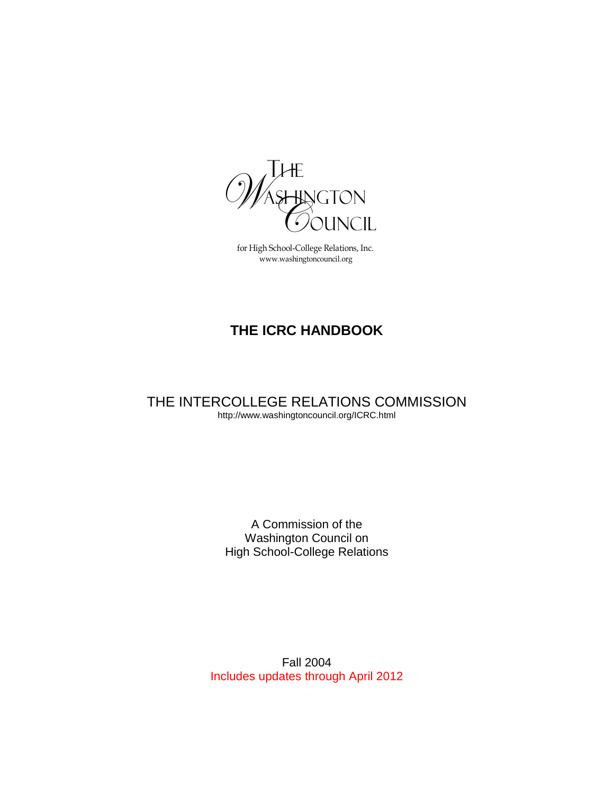

for High School-College Relations, Inc. www.washingtoncouncil.org

# **THE ICRC HANDBOOK**

THE INTERCOLLEGE RELATIONS COMMISSION http://www.washingtoncouncil.org/ICRC.html

> A Commission of the Washington Council on High School-College Relations

Fall 2004 Includes updates through April 2012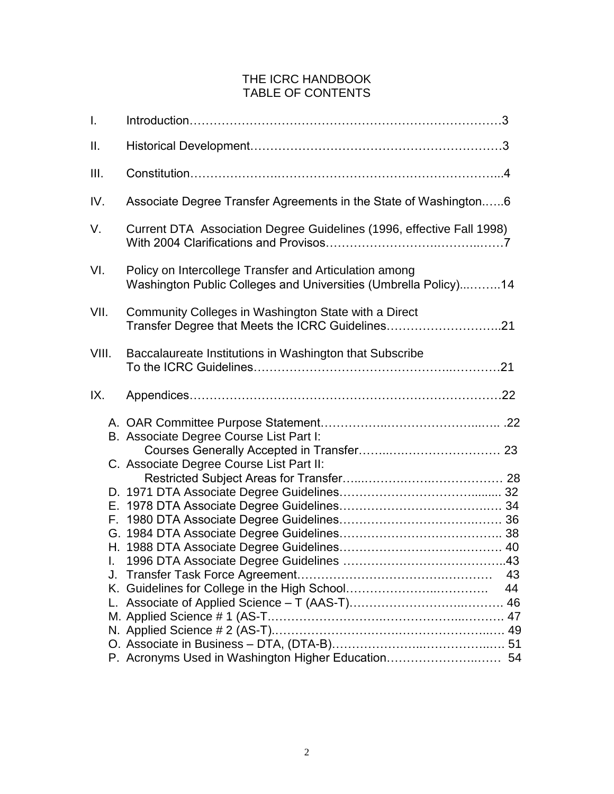# THE ICRC HANDBOOK TABLE OF CONTENTS

| I.    |                                                                                                                           |    |
|-------|---------------------------------------------------------------------------------------------------------------------------|----|
| ΙΙ.   |                                                                                                                           |    |
| III.  |                                                                                                                           |    |
| IV.   | Associate Degree Transfer Agreements in the State of Washington6                                                          |    |
| V.    | Current DTA Association Degree Guidelines (1996, effective Fall 1998)                                                     |    |
| VI.   | Policy on Intercollege Transfer and Articulation among<br>Washington Public Colleges and Universities (Umbrella Policy)14 |    |
| VII.  | Community Colleges in Washington State with a Direct<br>Transfer Degree that Meets the ICRC Guidelines21                  |    |
| VIII. | Baccalaureate Institutions in Washington that Subscribe                                                                   |    |
| IX.   |                                                                                                                           |    |
|       | B. Associate Degree Course List Part I:                                                                                   |    |
|       | C. Associate Degree Course List Part II:                                                                                  |    |
|       |                                                                                                                           |    |
|       |                                                                                                                           |    |
|       |                                                                                                                           |    |
|       |                                                                                                                           |    |
|       |                                                                                                                           |    |
|       |                                                                                                                           |    |
| J.    |                                                                                                                           | 43 |
|       |                                                                                                                           | 44 |
|       |                                                                                                                           |    |
|       |                                                                                                                           |    |
|       |                                                                                                                           |    |
|       |                                                                                                                           |    |
|       | P. Acronyms Used in Washington Higher Education 54                                                                        |    |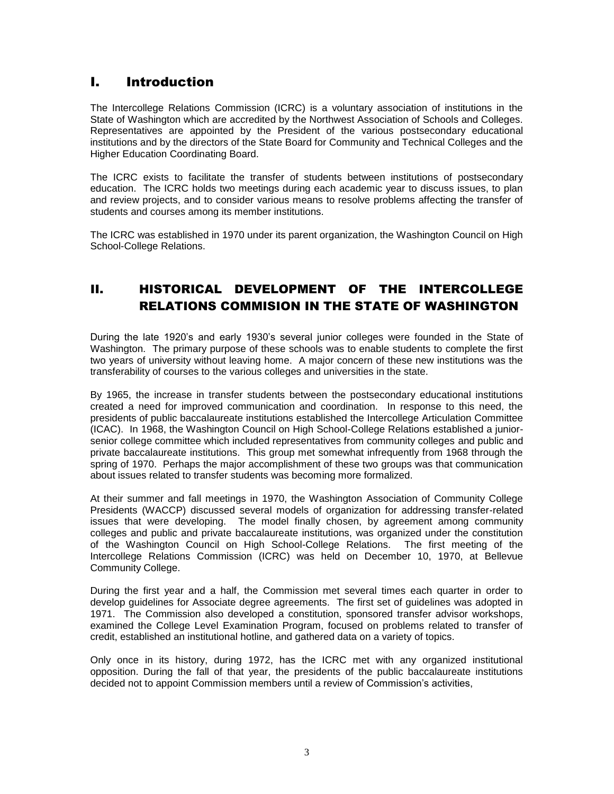# I. Introduction

The Intercollege Relations Commission (ICRC) is a voluntary association of institutions in the State of Washington which are accredited by the Northwest Association of Schools and Colleges. Representatives are appointed by the President of the various postsecondary educational institutions and by the directors of the State Board for Community and Technical Colleges and the Higher Education Coordinating Board.

The ICRC exists to facilitate the transfer of students between institutions of postsecondary education. The ICRC holds two meetings during each academic year to discuss issues, to plan and review projects, and to consider various means to resolve problems affecting the transfer of students and courses among its member institutions.

The ICRC was established in 1970 under its parent organization, the Washington Council on High School-College Relations.

# II. HISTORICAL DEVELOPMENT OF THE INTERCOLLEGE RELATIONS COMMISION IN THE STATE OF WASHINGTON

During the late 1920's and early 1930's several junior colleges were founded in the State of Washington. The primary purpose of these schools was to enable students to complete the first two years of university without leaving home. A major concern of these new institutions was the transferability of courses to the various colleges and universities in the state.

By 1965, the increase in transfer students between the postsecondary educational institutions created a need for improved communication and coordination. In response to this need, the presidents of public baccalaureate institutions established the Intercollege Articulation Committee (ICAC). In 1968, the Washington Council on High School-College Relations established a juniorsenior college committee which included representatives from community colleges and public and private baccalaureate institutions. This group met somewhat infrequently from 1968 through the spring of 1970. Perhaps the major accomplishment of these two groups was that communication about issues related to transfer students was becoming more formalized.

At their summer and fall meetings in 1970, the Washington Association of Community College Presidents (WACCP) discussed several models of organization for addressing transfer-related issues that were developing. The model finally chosen, by agreement among community colleges and public and private baccalaureate institutions, was organized under the constitution of the Washington Council on High School-College Relations. The first meeting of the Intercollege Relations Commission (ICRC) was held on December 10, 1970, at Bellevue Community College.

During the first year and a half, the Commission met several times each quarter in order to develop guidelines for Associate degree agreements. The first set of guidelines was adopted in 1971. The Commission also developed a constitution, sponsored transfer advisor workshops, examined the College Level Examination Program, focused on problems related to transfer of credit, established an institutional hotline, and gathered data on a variety of topics.

Only once in its history, during 1972, has the ICRC met with any organized institutional opposition. During the fall of that year, the presidents of the public baccalaureate institutions decided not to appoint Commission members until a review of Commission's activities,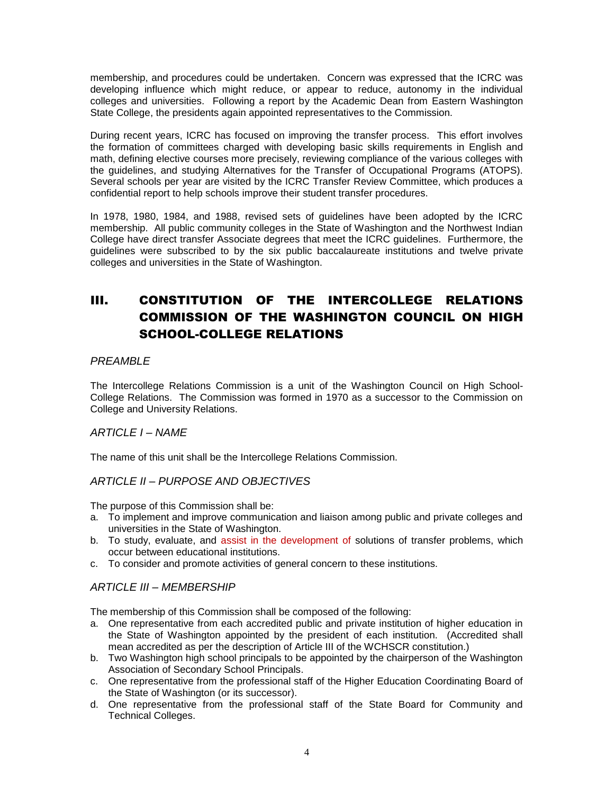membership, and procedures could be undertaken. Concern was expressed that the ICRC was developing influence which might reduce, or appear to reduce, autonomy in the individual colleges and universities. Following a report by the Academic Dean from Eastern Washington State College, the presidents again appointed representatives to the Commission.

During recent years, ICRC has focused on improving the transfer process. This effort involves the formation of committees charged with developing basic skills requirements in English and math, defining elective courses more precisely, reviewing compliance of the various colleges with the guidelines, and studying Alternatives for the Transfer of Occupational Programs (ATOPS). Several schools per year are visited by the ICRC Transfer Review Committee, which produces a confidential report to help schools improve their student transfer procedures.

In 1978, 1980, 1984, and 1988, revised sets of guidelines have been adopted by the ICRC membership. All public community colleges in the State of Washington and the Northwest Indian College have direct transfer Associate degrees that meet the ICRC guidelines. Furthermore, the guidelines were subscribed to by the six public baccalaureate institutions and twelve private colleges and universities in the State of Washington.

# III. CONSTITUTION OF THE INTERCOLLEGE RELATIONS COMMISSION OF THE WASHINGTON COUNCIL ON HIGH SCHOOL-COLLEGE RELATIONS

# *PREAMBLE*

The Intercollege Relations Commission is a unit of the Washington Council on High School-College Relations. The Commission was formed in 1970 as a successor to the Commission on College and University Relations.

# *ARTICLE I – NAME*

The name of this unit shall be the Intercollege Relations Commission.

# *ARTICLE II – PURPOSE AND OBJECTIVES*

The purpose of this Commission shall be:

- a. To implement and improve communication and liaison among public and private colleges and universities in the State of Washington.
- b. To study, evaluate, and assist in the development of solutions of transfer problems, which occur between educational institutions.
- c. To consider and promote activities of general concern to these institutions.

# *ARTICLE III – MEMBERSHIP*

The membership of this Commission shall be composed of the following:

- a. One representative from each accredited public and private institution of higher education in the State of Washington appointed by the president of each institution. (Accredited shall mean accredited as per the description of Article III of the WCHSCR constitution.)
- b. Two Washington high school principals to be appointed by the chairperson of the Washington Association of Secondary School Principals.
- c. One representative from the professional staff of the Higher Education Coordinating Board of the State of Washington (or its successor).
- d. One representative from the professional staff of the State Board for Community and Technical Colleges.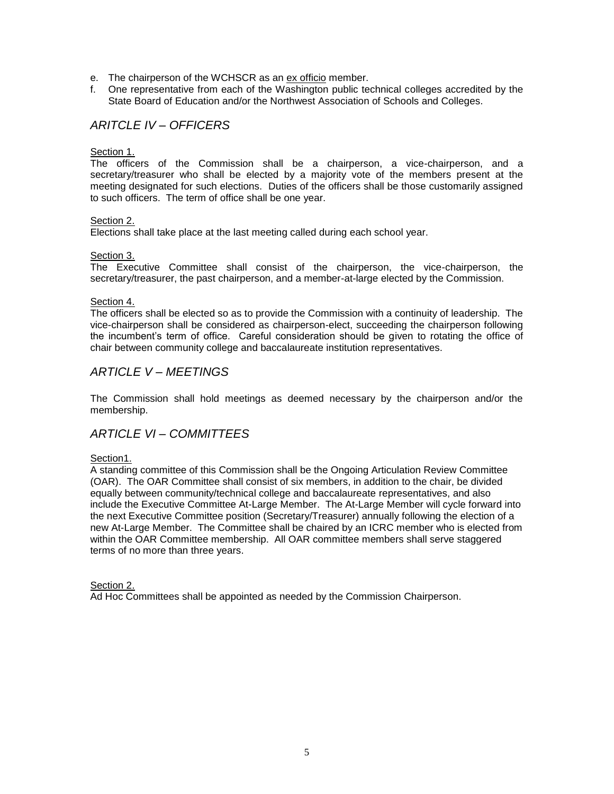- e. The chairperson of the WCHSCR as an ex officio member.
- f. One representative from each of the Washington public technical colleges accredited by the State Board of Education and/or the Northwest Association of Schools and Colleges.

# *ARITCLE IV – OFFICERS*

#### Section 1.

The officers of the Commission shall be a chairperson, a vice-chairperson, and a secretary/treasurer who shall be elected by a majority vote of the members present at the meeting designated for such elections. Duties of the officers shall be those customarily assigned to such officers. The term of office shall be one year.

#### Section 2.

Elections shall take place at the last meeting called during each school year.

#### Section 3.

The Executive Committee shall consist of the chairperson, the vice-chairperson, the secretary/treasurer, the past chairperson, and a member-at-large elected by the Commission.

#### Section 4.

The officers shall be elected so as to provide the Commission with a continuity of leadership. The vice-chairperson shall be considered as chairperson-elect, succeeding the chairperson following the incumbent's term of office. Careful consideration should be given to rotating the office of chair between community college and baccalaureate institution representatives.

### *ARTICLE V – MEETINGS*

The Commission shall hold meetings as deemed necessary by the chairperson and/or the membership.

# *ARTICLE VI – COMMITTEES*

#### Section1.

A standing committee of this Commission shall be the Ongoing Articulation Review Committee (OAR). The OAR Committee shall consist of six members, in addition to the chair, be divided equally between community/technical college and baccalaureate representatives, and also include the Executive Committee At-Large Member. The At-Large Member will cycle forward into the next Executive Committee position (Secretary/Treasurer) annually following the election of a new At-Large Member. The Committee shall be chaired by an ICRC member who is elected from within the OAR Committee membership. All OAR committee members shall serve staggered terms of no more than three years.

#### Section 2.

Ad Hoc Committees shall be appointed as needed by the Commission Chairperson.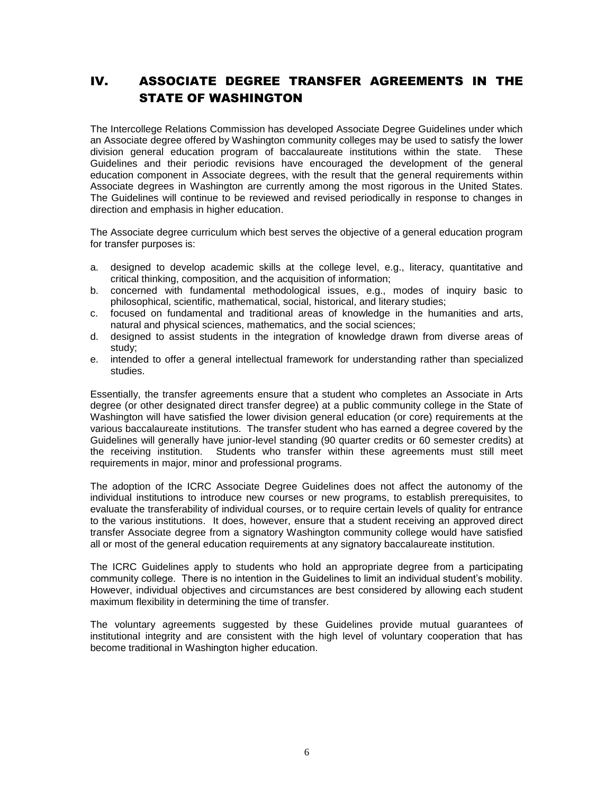# IV. ASSOCIATE DEGREE TRANSFER AGREEMENTS IN THE STATE OF WASHINGTON

The Intercollege Relations Commission has developed Associate Degree Guidelines under which an Associate degree offered by Washington community colleges may be used to satisfy the lower division general education program of baccalaureate institutions within the state. These Guidelines and their periodic revisions have encouraged the development of the general education component in Associate degrees, with the result that the general requirements within Associate degrees in Washington are currently among the most rigorous in the United States. The Guidelines will continue to be reviewed and revised periodically in response to changes in direction and emphasis in higher education.

The Associate degree curriculum which best serves the objective of a general education program for transfer purposes is:

- a. designed to develop academic skills at the college level, e.g., literacy, quantitative and critical thinking, composition, and the acquisition of information;
- b. concerned with fundamental methodological issues, e.g., modes of inquiry basic to philosophical, scientific, mathematical, social, historical, and literary studies;
- c. focused on fundamental and traditional areas of knowledge in the humanities and arts, natural and physical sciences, mathematics, and the social sciences;
- d. designed to assist students in the integration of knowledge drawn from diverse areas of study;
- e. intended to offer a general intellectual framework for understanding rather than specialized studies.

Essentially, the transfer agreements ensure that a student who completes an Associate in Arts degree (or other designated direct transfer degree) at a public community college in the State of Washington will have satisfied the lower division general education (or core) requirements at the various baccalaureate institutions. The transfer student who has earned a degree covered by the Guidelines will generally have junior-level standing (90 quarter credits or 60 semester credits) at the receiving institution. Students who transfer within these agreements must still meet requirements in major, minor and professional programs.

The adoption of the ICRC Associate Degree Guidelines does not affect the autonomy of the individual institutions to introduce new courses or new programs, to establish prerequisites, to evaluate the transferability of individual courses, or to require certain levels of quality for entrance to the various institutions. It does, however, ensure that a student receiving an approved direct transfer Associate degree from a signatory Washington community college would have satisfied all or most of the general education requirements at any signatory baccalaureate institution.

The ICRC Guidelines apply to students who hold an appropriate degree from a participating community college. There is no intention in the Guidelines to limit an individual student's mobility. However, individual objectives and circumstances are best considered by allowing each student maximum flexibility in determining the time of transfer.

The voluntary agreements suggested by these Guidelines provide mutual guarantees of institutional integrity and are consistent with the high level of voluntary cooperation that has become traditional in Washington higher education.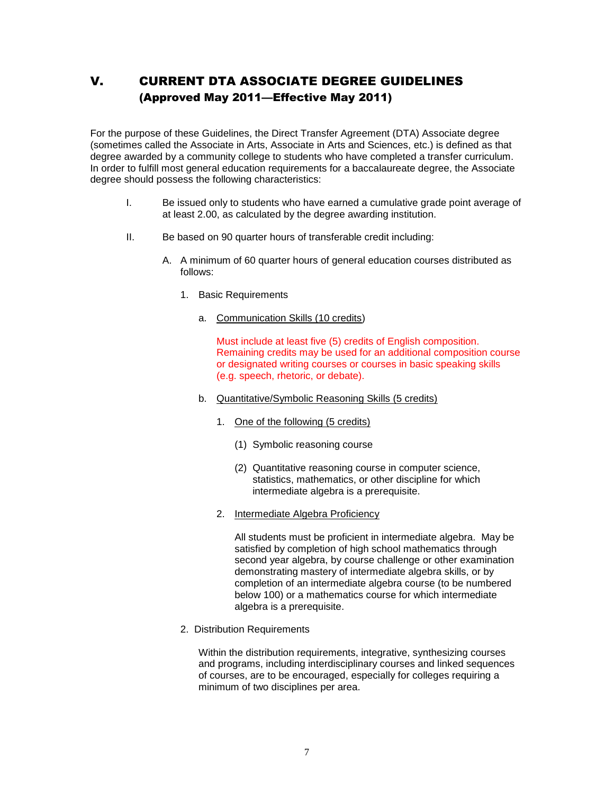# V. CURRENT DTA ASSOCIATE DEGREE GUIDELINES (Approved May 2011—Effective May 2011)

For the purpose of these Guidelines, the Direct Transfer Agreement (DTA) Associate degree (sometimes called the Associate in Arts, Associate in Arts and Sciences, etc.) is defined as that degree awarded by a community college to students who have completed a transfer curriculum. In order to fulfill most general education requirements for a baccalaureate degree, the Associate degree should possess the following characteristics:

- I. Be issued only to students who have earned a cumulative grade point average of at least 2.00, as calculated by the degree awarding institution.
- II. Be based on 90 quarter hours of transferable credit including:
	- A. A minimum of 60 quarter hours of general education courses distributed as follows:
		- 1. Basic Requirements
			- a. Communication Skills (10 credits)

Must include at least five (5) credits of English composition. Remaining credits may be used for an additional composition course or designated writing courses or courses in basic speaking skills (e.g. speech, rhetoric, or debate).

- b. Quantitative/Symbolic Reasoning Skills (5 credits)
	- 1. One of the following (5 credits)
		- (1) Symbolic reasoning course
		- (2) Quantitative reasoning course in computer science, statistics, mathematics, or other discipline for which intermediate algebra is a prerequisite.
	- 2. Intermediate Algebra Proficiency

All students must be proficient in intermediate algebra. May be satisfied by completion of high school mathematics through second year algebra, by course challenge or other examination demonstrating mastery of intermediate algebra skills, or by completion of an intermediate algebra course (to be numbered below 100) or a mathematics course for which intermediate algebra is a prerequisite.

2. Distribution Requirements

Within the distribution requirements, integrative, synthesizing courses and programs, including interdisciplinary courses and linked sequences of courses, are to be encouraged, especially for colleges requiring a minimum of two disciplines per area.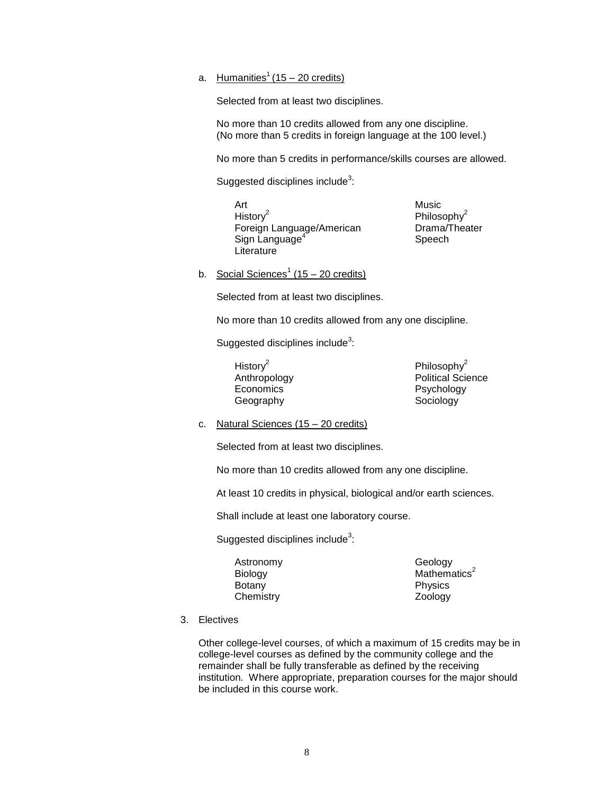### a. Humanities<sup>1</sup> (15 – 20 credits)

Selected from at least two disciplines.

No more than 10 credits allowed from any one discipline. (No more than 5 credits in foreign language at the 100 level.)

No more than 5 credits in performance/skills courses are allowed.

Suggested disciplines include $^3$ :

Art Music Histor $v^2$ Foreign Language/American Drama/Theater Sign Language<sup>4</sup> **Literature** 

Philosophy<sup>2</sup> Speech

b. Social Sciences<sup>1</sup> (15 – 20 credits)

Selected from at least two disciplines.

No more than 10 credits allowed from any one discipline.

Suggested disciplines include $^3$ :

History<sup>2</sup> Economics **Psychology** Geography **Sociology** 

Philosophy<sup>2</sup> Anthropology **Political Science** 

c. Natural Sciences (15 – 20 credits)

Selected from at least two disciplines.

No more than 10 credits allowed from any one discipline.

At least 10 credits in physical, biological and/or earth sciences.

Shall include at least one laboratory course.

Suggested disciplines include $^3$ :

Astronomy Geology Botany **Physics** Chemistry Zoology

Biology Mathematics<sup>2</sup>

3. Electives

Other college-level courses, of which a maximum of 15 credits may be in college-level courses as defined by the community college and the remainder shall be fully transferable as defined by the receiving institution. Where appropriate, preparation courses for the major should be included in this course work.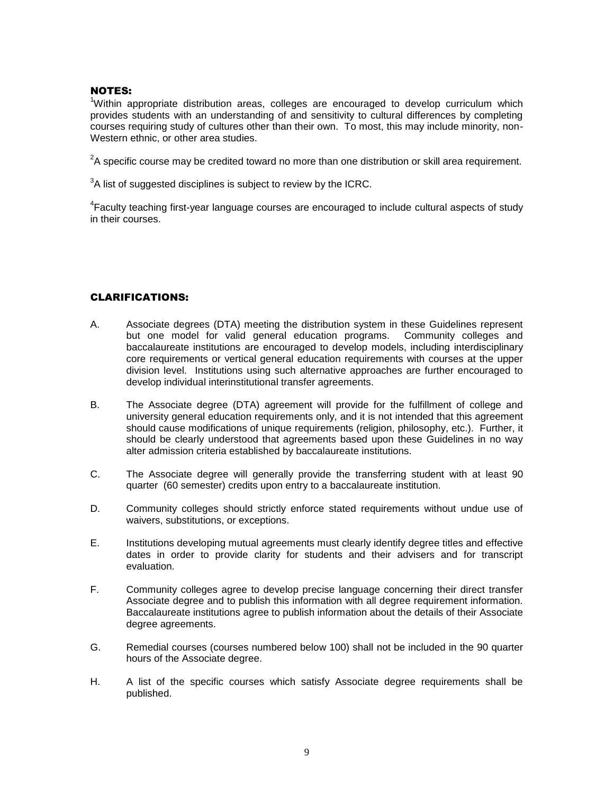### NOTES:

<sup>1</sup>Within appropriate distribution areas, colleges are encouraged to develop curriculum which provides students with an understanding of and sensitivity to cultural differences by completing courses requiring study of cultures other than their own. To most, this may include minority, non-Western ethnic, or other area studies.

 $2$ A specific course may be credited toward no more than one distribution or skill area requirement.

 $3$ A list of suggested disciplines is subject to review by the ICRC.

<sup>4</sup>Faculty teaching first-year language courses are encouraged to include cultural aspects of study in their courses.

### CLARIFICATIONS:

- A. Associate degrees (DTA) meeting the distribution system in these Guidelines represent but one model for valid general education programs. Community colleges and baccalaureate institutions are encouraged to develop models, including interdisciplinary core requirements or vertical general education requirements with courses at the upper division level. Institutions using such alternative approaches are further encouraged to develop individual interinstitutional transfer agreements.
- B. The Associate degree (DTA) agreement will provide for the fulfillment of college and university general education requirements only, and it is not intended that this agreement should cause modifications of unique requirements (religion, philosophy, etc.). Further, it should be clearly understood that agreements based upon these Guidelines in no way alter admission criteria established by baccalaureate institutions.
- C. The Associate degree will generally provide the transferring student with at least 90 quarter (60 semester) credits upon entry to a baccalaureate institution.
- D. Community colleges should strictly enforce stated requirements without undue use of waivers, substitutions, or exceptions.
- E. Institutions developing mutual agreements must clearly identify degree titles and effective dates in order to provide clarity for students and their advisers and for transcript evaluation.
- F. Community colleges agree to develop precise language concerning their direct transfer Associate degree and to publish this information with all degree requirement information. Baccalaureate institutions agree to publish information about the details of their Associate degree agreements.
- G. Remedial courses (courses numbered below 100) shall not be included in the 90 quarter hours of the Associate degree.
- H. A list of the specific courses which satisfy Associate degree requirements shall be published.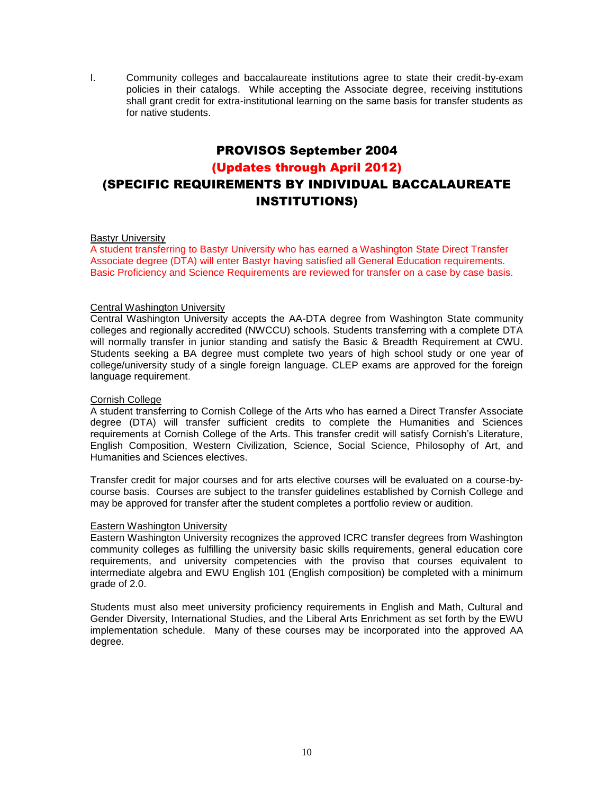I. Community colleges and baccalaureate institutions agree to state their credit-by-exam policies in their catalogs. While accepting the Associate degree, receiving institutions shall grant credit for extra-institutional learning on the same basis for transfer students as for native students.

# PROVISOS September 2004

### (Updates through April 2012)

# (SPECIFIC REQUIREMENTS BY INDIVIDUAL BACCALAUREATE INSTITUTIONS)

#### Bastyr University

A student transferring to Bastyr University who has earned a Washington State Direct Transfer Associate degree (DTA) will enter Bastyr having satisfied all General Education requirements. Basic Proficiency and Science Requirements are reviewed for transfer on a case by case basis.

#### Central Washington University

Central Washington University accepts the AA-DTA degree from Washington State community colleges and regionally accredited (NWCCU) schools. Students transferring with a complete DTA will normally transfer in junior standing and satisfy the Basic & Breadth Requirement at CWU. Students seeking a BA degree must complete two years of high school study or one year of college/university study of a single foreign language. CLEP exams are approved for the foreign language requirement.

#### Cornish College

A student transferring to Cornish College of the Arts who has earned a Direct Transfer Associate degree (DTA) will transfer sufficient credits to complete the Humanities and Sciences requirements at Cornish College of the Arts. This transfer credit will satisfy Cornish's Literature, English Composition, Western Civilization, Science, Social Science, Philosophy of Art, and Humanities and Sciences electives.

Transfer credit for major courses and for arts elective courses will be evaluated on a course-bycourse basis. Courses are subject to the transfer guidelines established by Cornish College and may be approved for transfer after the student completes a portfolio review or audition.

#### Eastern Washington University

Eastern Washington University recognizes the approved ICRC transfer degrees from Washington community colleges as fulfilling the university basic skills requirements, general education core requirements, and university competencies with the proviso that courses equivalent to intermediate algebra and EWU English 101 (English composition) be completed with a minimum grade of 2.0.

Students must also meet university proficiency requirements in English and Math, Cultural and Gender Diversity, International Studies, and the Liberal Arts Enrichment as set forth by the EWU implementation schedule. Many of these courses may be incorporated into the approved AA degree.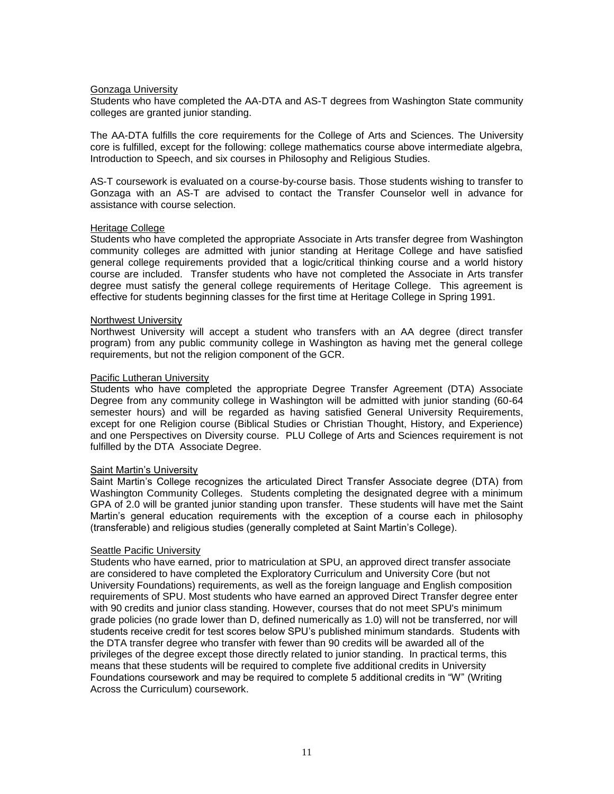#### Gonzaga University

Students who have completed the AA-DTA and AS-T degrees from Washington State community colleges are granted junior standing.

The AA-DTA fulfills the core requirements for the College of Arts and Sciences. The University core is fulfilled, except for the following: college mathematics course above intermediate algebra, Introduction to Speech, and six courses in Philosophy and Religious Studies.

AS-T coursework is evaluated on a course-by-course basis. Those students wishing to transfer to Gonzaga with an AS-T are advised to contact the Transfer Counselor well in advance for assistance with course selection.

#### Heritage College

Students who have completed the appropriate Associate in Arts transfer degree from Washington community colleges are admitted with junior standing at Heritage College and have satisfied general college requirements provided that a logic/critical thinking course and a world history course are included. Transfer students who have not completed the Associate in Arts transfer degree must satisfy the general college requirements of Heritage College. This agreement is effective for students beginning classes for the first time at Heritage College in Spring 1991.

#### Northwest University

Northwest University will accept a student who transfers with an AA degree (direct transfer program) from any public community college in Washington as having met the general college requirements, but not the religion component of the GCR.

#### Pacific Lutheran University

Students who have completed the appropriate Degree Transfer Agreement (DTA) Associate Degree from any community college in Washington will be admitted with junior standing (60-64 semester hours) and will be regarded as having satisfied General University Requirements, except for one Religion course (Biblical Studies or Christian Thought, History, and Experience) and one Perspectives on Diversity course. PLU College of Arts and Sciences requirement is not fulfilled by the DTA Associate Degree.

#### Saint Martin's University

Saint Martin's College recognizes the articulated Direct Transfer Associate degree (DTA) from Washington Community Colleges. Students completing the designated degree with a minimum GPA of 2.0 will be granted junior standing upon transfer. These students will have met the Saint Martin's general education requirements with the exception of a course each in philosophy (transferable) and religious studies (generally completed at Saint Martin's College).

#### Seattle Pacific University

Students who have earned, prior to matriculation at SPU, an approved direct transfer associate are considered to have completed the Exploratory Curriculum and University Core (but not University Foundations) requirements, as well as the foreign language and English composition requirements of SPU. Most students who have earned an approved Direct Transfer degree enter with 90 credits and junior class standing. However, courses that do not meet SPU's minimum grade policies (no grade lower than D, defined numerically as 1.0) will not be transferred, nor will students receive credit for test scores below SPU's published minimum standards. Students with the DTA transfer degree who transfer with fewer than 90 credits will be awarded all of the privileges of the degree except those directly related to junior standing. In practical terms, this means that these students will be required to complete five additional credits in University Foundations coursework and may be required to complete 5 additional credits in "W" (Writing Across the Curriculum) coursework.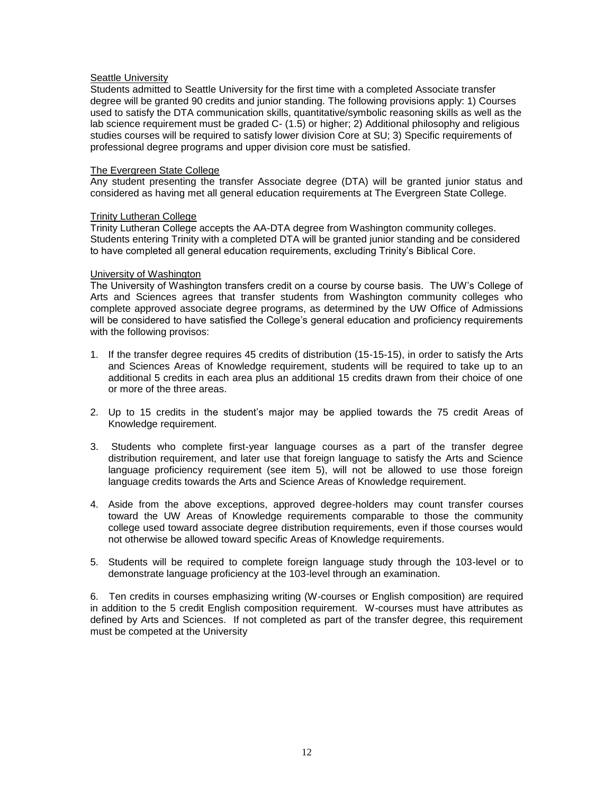#### Seattle University

Students admitted to Seattle University for the first time with a completed Associate transfer degree will be granted 90 credits and junior standing. The following provisions apply: 1) Courses used to satisfy the DTA communication skills, quantitative/symbolic reasoning skills as well as the lab science requirement must be graded C- (1.5) or higher; 2) Additional philosophy and religious studies courses will be required to satisfy lower division Core at SU; 3) Specific requirements of professional degree programs and upper division core must be satisfied.

#### The Evergreen State College

Any student presenting the transfer Associate degree (DTA) will be granted junior status and considered as having met all general education requirements at The Evergreen State College.

#### Trinity Lutheran College

Trinity Lutheran College accepts the AA-DTA degree from Washington community colleges. Students entering Trinity with a completed DTA will be granted junior standing and be considered to have completed all general education requirements, excluding Trinity's Biblical Core.

#### University of Washington

The University of Washington transfers credit on a course by course basis. The UW's College of Arts and Sciences agrees that transfer students from Washington community colleges who complete approved associate degree programs, as determined by the UW Office of Admissions will be considered to have satisfied the College's general education and proficiency requirements with the following provisos:

- 1. If the transfer degree requires 45 credits of distribution (15-15-15), in order to satisfy the Arts and Sciences Areas of Knowledge requirement, students will be required to take up to an additional 5 credits in each area plus an additional 15 credits drawn from their choice of one or more of the three areas.
- 2. Up to 15 credits in the student's major may be applied towards the 75 credit Areas of Knowledge requirement.
- 3. Students who complete first-year language courses as a part of the transfer degree distribution requirement, and later use that foreign language to satisfy the Arts and Science language proficiency requirement (see item 5), will not be allowed to use those foreign language credits towards the Arts and Science Areas of Knowledge requirement.
- 4. Aside from the above exceptions, approved degree-holders may count transfer courses toward the UW Areas of Knowledge requirements comparable to those the community college used toward associate degree distribution requirements, even if those courses would not otherwise be allowed toward specific Areas of Knowledge requirements.
- 5. Students will be required to complete foreign language study through the 103-level or to demonstrate language proficiency at the 103-level through an examination.

6. Ten credits in courses emphasizing writing (W-courses or English composition) are required in addition to the 5 credit English composition requirement. W-courses must have attributes as defined by Arts and Sciences. If not completed as part of the transfer degree, this requirement must be competed at the University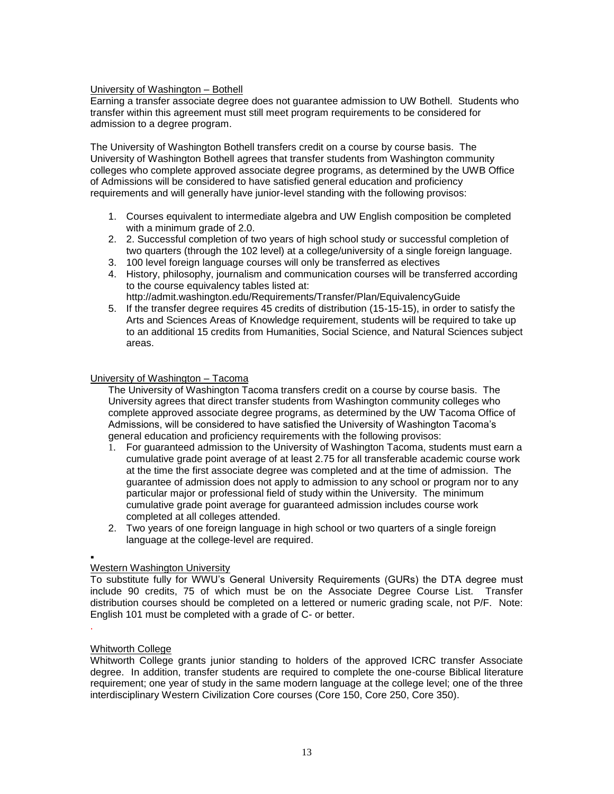#### University of Washington – Bothell

Earning a transfer associate degree does not guarantee admission to UW Bothell. Students who transfer within this agreement must still meet program requirements to be considered for admission to a degree program.

The University of Washington Bothell transfers credit on a course by course basis. The University of Washington Bothell agrees that transfer students from Washington community colleges who complete approved associate degree programs, as determined by the UWB Office of Admissions will be considered to have satisfied general education and proficiency requirements and will generally have junior-level standing with the following provisos:

- 1. Courses equivalent to intermediate algebra and UW English composition be completed with a minimum grade of 2.0.
- 2. 2. Successful completion of two years of high school study or successful completion of two quarters (through the 102 level) at a college/university of a single foreign language.
- 3. 100 level foreign language courses will only be transferred as electives
- 4. History, philosophy, journalism and communication courses will be transferred according to the course equivalency tables listed at:
	- <http://admit.washington.edu/Requirements/Transfer/Plan/EquivalencyGuide>
- 5. If the transfer degree requires 45 credits of distribution (15-15-15), in order to satisfy the Arts and Sciences Areas of Knowledge requirement, students will be required to take up to an additional 15 credits from Humanities, Social Science, and Natural Sciences subject areas.

#### University of Washington – Tacoma

The University of Washington Tacoma transfers credit on a course by course basis. The University agrees that direct transfer students from Washington community colleges who complete approved associate degree programs, as determined by the UW Tacoma Office of Admissions, will be considered to have satisfied the University of Washington Tacoma's general education and proficiency requirements with the following provisos:

- 1. For guaranteed admission to the University of Washington Tacoma, students must earn a cumulative grade point average of at least 2.75 for all transferable academic course work at the time the first associate degree was completed and at the time of admission. The guarantee of admission does not apply to admission to any school or program nor to any particular major or professional field of study within the University. The minimum cumulative grade point average for guaranteed admission includes course work completed at all colleges attended.
- 2. Two years of one foreign language in high school or two quarters of a single foreign language at the college-level are required.

# .

### Western Washington University

To substitute fully for WWU's General University Requirements (GURs) the DTA degree must include 90 credits, 75 of which must be on the Associate Degree Course List. Transfer distribution courses should be completed on a lettered or numeric grading scale, not P/F. Note: English 101 must be completed with a grade of C- or better.

.

#### Whitworth College

Whitworth College grants junior standing to holders of the approved ICRC transfer Associate degree. In addition, transfer students are required to complete the one-course Biblical literature requirement; one year of study in the same modern language at the college level; one of the three interdisciplinary Western Civilization Core courses (Core 150, Core 250, Core 350).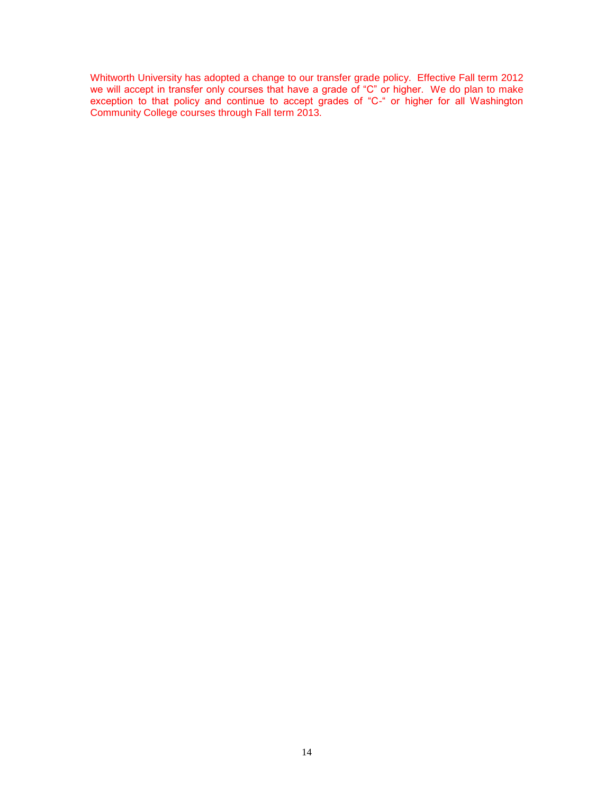Whitworth University has adopted a change to our transfer grade policy. Effective Fall term 2012 we will accept in transfer only courses that have a grade of "C" or higher. We do plan to make exception to that policy and continue to accept grades of "C-" or higher for all Washington Community College courses through Fall term 2013.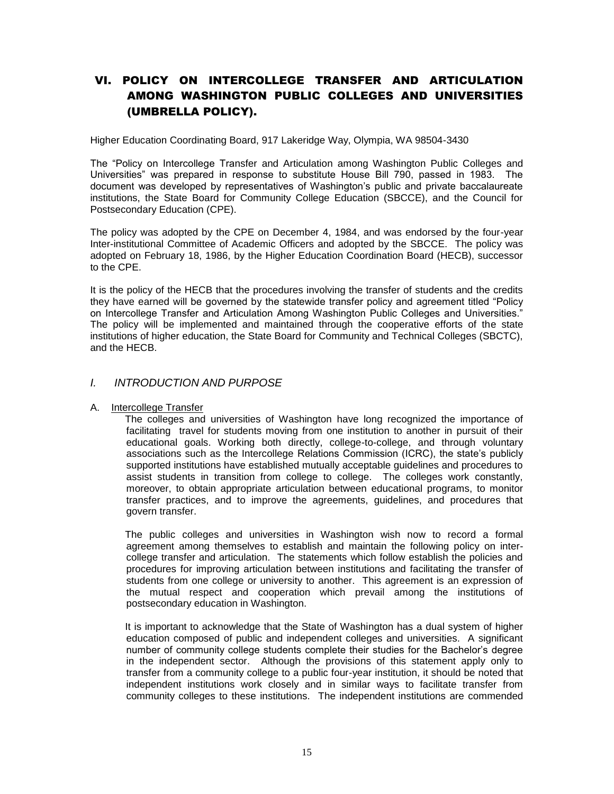# VI. POLICY ON INTERCOLLEGE TRANSFER AND ARTICULATION AMONG WASHINGTON PUBLIC COLLEGES AND UNIVERSITIES (UMBRELLA POLICY).

Higher Education Coordinating Board, 917 Lakeridge Way, Olympia, WA 98504-3430

The "Policy on Intercollege Transfer and Articulation among Washington Public Colleges and Universities" was prepared in response to substitute House Bill 790, passed in 1983. The document was developed by representatives of Washington's public and private baccalaureate institutions, the State Board for Community College Education (SBCCE), and the Council for Postsecondary Education (CPE).

The policy was adopted by the CPE on December 4, 1984, and was endorsed by the four-year Inter-institutional Committee of Academic Officers and adopted by the SBCCE. The policy was adopted on February 18, 1986, by the Higher Education Coordination Board (HECB), successor to the CPE.

It is the policy of the HECB that the procedures involving the transfer of students and the credits they have earned will be governed by the statewide transfer policy and agreement titled "Policy on Intercollege Transfer and Articulation Among Washington Public Colleges and Universities." The policy will be implemented and maintained through the cooperative efforts of the state institutions of higher education, the State Board for Community and Technical Colleges (SBCTC), and the HECB.

### *I. INTRODUCTION AND PURPOSE*

#### A. Intercollege Transfer

 The colleges and universities of Washington have long recognized the importance of facilitating travel for students moving from one institution to another in pursuit of their educational goals. Working both directly, college-to-college, and through voluntary associations such as the Intercollege Relations Commission (ICRC), the state's publicly supported institutions have established mutually acceptable guidelines and procedures to assist students in transition from college to college. The colleges work constantly, moreover, to obtain appropriate articulation between educational programs, to monitor transfer practices, and to improve the agreements, guidelines, and procedures that govern transfer.

 The public colleges and universities in Washington wish now to record a formal agreement among themselves to establish and maintain the following policy on intercollege transfer and articulation. The statements which follow establish the policies and procedures for improving articulation between institutions and facilitating the transfer of students from one college or university to another. This agreement is an expression of the mutual respect and cooperation which prevail among the institutions of postsecondary education in Washington.

 It is important to acknowledge that the State of Washington has a dual system of higher education composed of public and independent colleges and universities. A significant number of community college students complete their studies for the Bachelor's degree in the independent sector. Although the provisions of this statement apply only to transfer from a community college to a public four-year institution, it should be noted that independent institutions work closely and in similar ways to facilitate transfer from community colleges to these institutions. The independent institutions are commended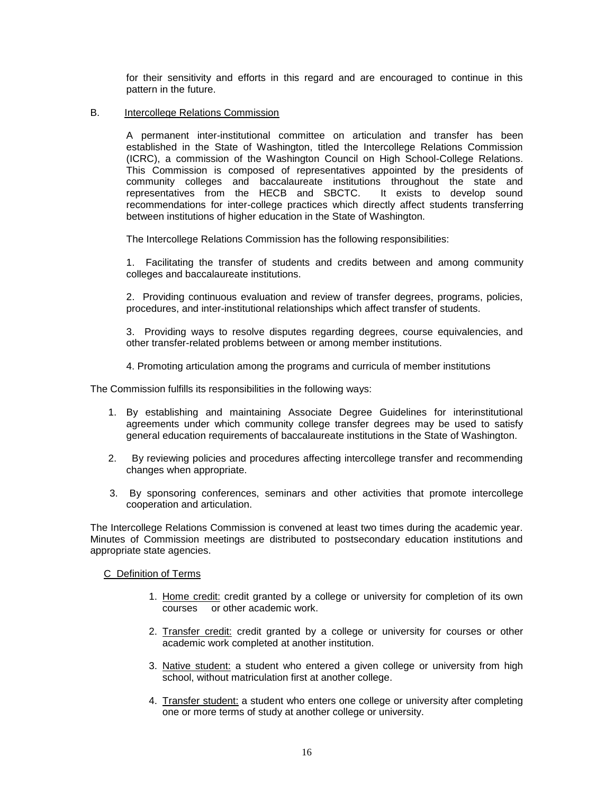for their sensitivity and efforts in this regard and are encouraged to continue in this pattern in the future.

#### B. Intercollege Relations Commission

 A permanent inter-institutional committee on articulation and transfer has been established in the State of Washington, titled the Intercollege Relations Commission (ICRC), a commission of the Washington Council on High School-College Relations. This Commission is composed of representatives appointed by the presidents of community colleges and baccalaureate institutions throughout the state and representatives from the HECB and SBCTC. It exists to develop sound recommendations for inter-college practices which directly affect students transferring between institutions of higher education in the State of Washington.

The Intercollege Relations Commission has the following responsibilities:

 1. Facilitating the transfer of students and credits between and among community colleges and baccalaureate institutions.

 2. Providing continuous evaluation and review of transfer degrees, programs, policies, procedures, and inter-institutional relationships which affect transfer of students.

 3. Providing ways to resolve disputes regarding degrees, course equivalencies, and other transfer-related problems between or among member institutions.

4. Promoting articulation among the programs and curricula of member institutions

The Commission fulfills its responsibilities in the following ways:

- 1. By establishing and maintaining Associate Degree Guidelines for interinstitutional agreements under which community college transfer degrees may be used to satisfy general education requirements of baccalaureate institutions in the State of Washington.
- 2. By reviewing policies and procedures affecting intercollege transfer and recommending changes when appropriate.
- 3. By sponsoring conferences, seminars and other activities that promote intercollege cooperation and articulation.

The Intercollege Relations Commission is convened at least two times during the academic year. Minutes of Commission meetings are distributed to postsecondary education institutions and appropriate state agencies.

#### C Definition of Terms

- 1. Home credit: credit granted by a college or university for completion of its own courses or other academic work.
- 2. Transfer credit: credit granted by a college or university for courses or other academic work completed at another institution.
- 3. Native student: a student who entered a given college or university from high school, without matriculation first at another college.
- 4. Transfer student: a student who enters one college or university after completing one or more terms of study at another college or university.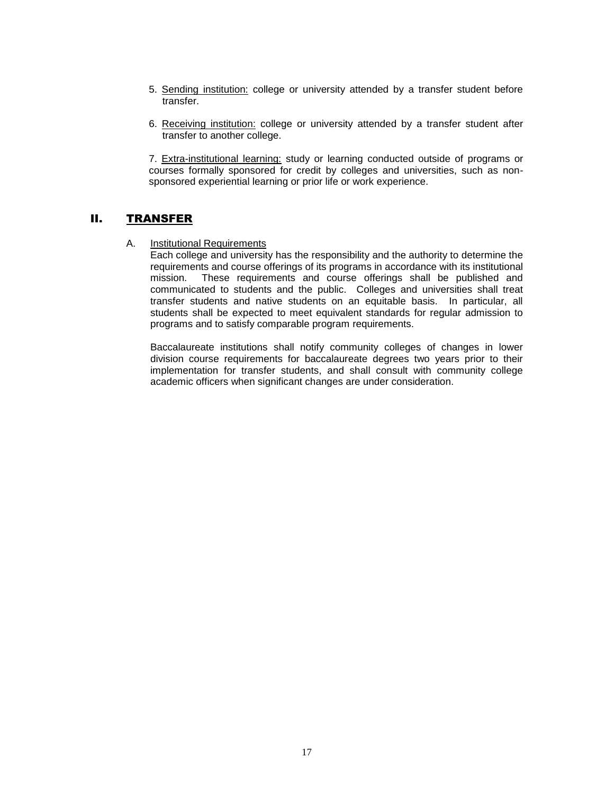- 5. Sending institution: college or university attended by a transfer student before transfer.
- 6. Receiving institution: college or university attended by a transfer student after transfer to another college.

7. Extra-institutional learning: study or learning conducted outside of programs or courses formally sponsored for credit by colleges and universities, such as nonsponsored experiential learning or prior life or work experience.

### II. TRANSFER

A. Institutional Requirements

Each college and university has the responsibility and the authority to determine the requirements and course offerings of its programs in accordance with its institutional mission. These requirements and course offerings shall be published and communicated to students and the public. Colleges and universities shall treat transfer students and native students on an equitable basis. In particular, all students shall be expected to meet equivalent standards for regular admission to programs and to satisfy comparable program requirements.

Baccalaureate institutions shall notify community colleges of changes in lower division course requirements for baccalaureate degrees two years prior to their implementation for transfer students, and shall consult with community college academic officers when significant changes are under consideration.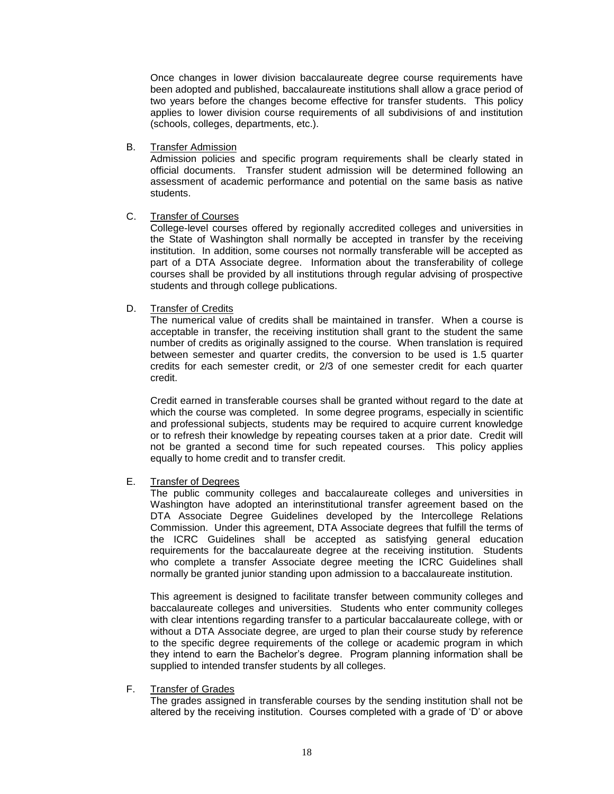Once changes in lower division baccalaureate degree course requirements have been adopted and published, baccalaureate institutions shall allow a grace period of two years before the changes become effective for transfer students. This policy applies to lower division course requirements of all subdivisions of and institution (schools, colleges, departments, etc.).

B. Transfer Admission

Admission policies and specific program requirements shall be clearly stated in official documents. Transfer student admission will be determined following an assessment of academic performance and potential on the same basis as native students.

#### C. Transfer of Courses

College-level courses offered by regionally accredited colleges and universities in the State of Washington shall normally be accepted in transfer by the receiving institution. In addition, some courses not normally transferable will be accepted as part of a DTA Associate degree. Information about the transferability of college courses shall be provided by all institutions through regular advising of prospective students and through college publications.

#### D. Transfer of Credits

The numerical value of credits shall be maintained in transfer. When a course is acceptable in transfer, the receiving institution shall grant to the student the same number of credits as originally assigned to the course. When translation is required between semester and quarter credits, the conversion to be used is 1.5 quarter credits for each semester credit, or 2/3 of one semester credit for each quarter credit.

Credit earned in transferable courses shall be granted without regard to the date at which the course was completed. In some degree programs, especially in scientific and professional subjects, students may be required to acquire current knowledge or to refresh their knowledge by repeating courses taken at a prior date. Credit will not be granted a second time for such repeated courses. This policy applies equally to home credit and to transfer credit.

#### E. Transfer of Degrees

The public community colleges and baccalaureate colleges and universities in Washington have adopted an interinstitutional transfer agreement based on the DTA Associate Degree Guidelines developed by the Intercollege Relations Commission. Under this agreement, DTA Associate degrees that fulfill the terms of the ICRC Guidelines shall be accepted as satisfying general education requirements for the baccalaureate degree at the receiving institution. Students who complete a transfer Associate degree meeting the ICRC Guidelines shall normally be granted junior standing upon admission to a baccalaureate institution.

This agreement is designed to facilitate transfer between community colleges and baccalaureate colleges and universities. Students who enter community colleges with clear intentions regarding transfer to a particular baccalaureate college, with or without a DTA Associate degree, are urged to plan their course study by reference to the specific degree requirements of the college or academic program in which they intend to earn the Bachelor's degree. Program planning information shall be supplied to intended transfer students by all colleges.

### F. Transfer of Grades

The grades assigned in transferable courses by the sending institution shall not be altered by the receiving institution. Courses completed with a grade of 'D' or above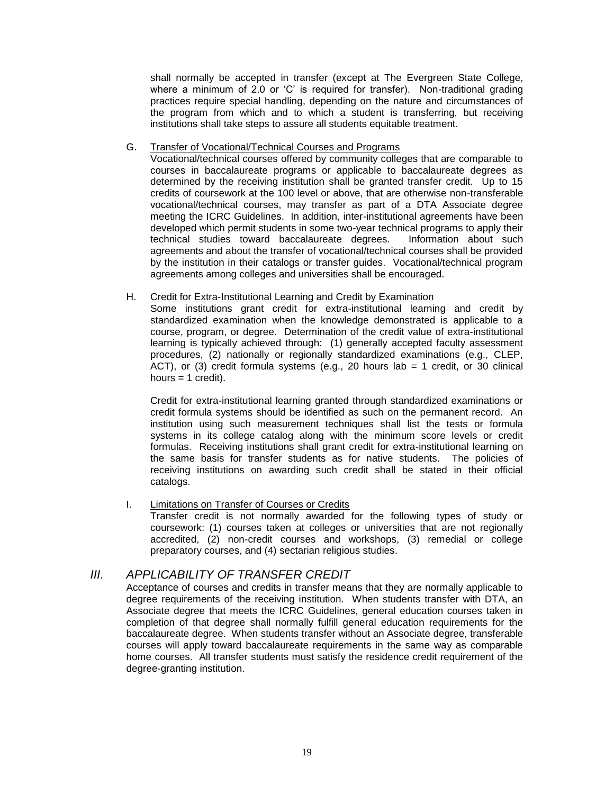shall normally be accepted in transfer (except at The Evergreen State College, where a minimum of 2.0 or 'C' is required for transfer). Non-traditional grading practices require special handling, depending on the nature and circumstances of the program from which and to which a student is transferring, but receiving institutions shall take steps to assure all students equitable treatment.

#### G. Transfer of Vocational/Technical Courses and Programs

Vocational/technical courses offered by community colleges that are comparable to courses in baccalaureate programs or applicable to baccalaureate degrees as determined by the receiving institution shall be granted transfer credit. Up to 15 credits of coursework at the 100 level or above, that are otherwise non-transferable vocational/technical courses, may transfer as part of a DTA Associate degree meeting the ICRC Guidelines. In addition, inter-institutional agreements have been developed which permit students in some two-year technical programs to apply their technical studies toward baccalaureate degrees. Information about such agreements and about the transfer of vocational/technical courses shall be provided by the institution in their catalogs or transfer guides. Vocational/technical program agreements among colleges and universities shall be encouraged.

#### H. Credit for Extra-Institutional Learning and Credit by Examination

Some institutions grant credit for extra-institutional learning and credit by standardized examination when the knowledge demonstrated is applicable to a course, program, or degree. Determination of the credit value of extra-institutional learning is typically achieved through: (1) generally accepted faculty assessment procedures, (2) nationally or regionally standardized examinations (e.g., CLEP, ACT), or (3) credit formula systems (e.g., 20 hours lab = 1 credit, or 30 clinical hours  $= 1$  credit).

Credit for extra-institutional learning granted through standardized examinations or credit formula systems should be identified as such on the permanent record. An institution using such measurement techniques shall list the tests or formula systems in its college catalog along with the minimum score levels or credit formulas. Receiving institutions shall grant credit for extra-institutional learning on the same basis for transfer students as for native students. The policies of receiving institutions on awarding such credit shall be stated in their official catalogs.

### I. Limitations on Transfer of Courses or Credits

Transfer credit is not normally awarded for the following types of study or coursework: (1) courses taken at colleges or universities that are not regionally accredited, (2) non-credit courses and workshops, (3) remedial or college preparatory courses, and (4) sectarian religious studies.

# *III. APPLICABILITY OF TRANSFER CREDIT*

Acceptance of courses and credits in transfer means that they are normally applicable to degree requirements of the receiving institution. When students transfer with DTA, an Associate degree that meets the ICRC Guidelines, general education courses taken in completion of that degree shall normally fulfill general education requirements for the baccalaureate degree. When students transfer without an Associate degree, transferable courses will apply toward baccalaureate requirements in the same way as comparable home courses. All transfer students must satisfy the residence credit requirement of the degree-granting institution.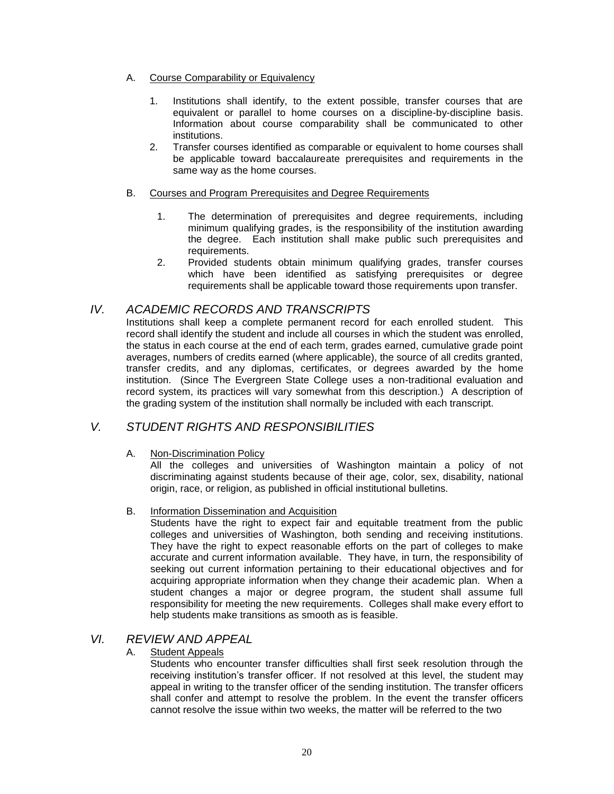- A. Course Comparability or Equivalency
	- 1. Institutions shall identify, to the extent possible, transfer courses that are equivalent or parallel to home courses on a discipline-by-discipline basis. Information about course comparability shall be communicated to other institutions.
	- 2. Transfer courses identified as comparable or equivalent to home courses shall be applicable toward baccalaureate prerequisites and requirements in the same way as the home courses.

### B. Courses and Program Prerequisites and Degree Requirements

- 1. The determination of prerequisites and degree requirements, including minimum qualifying grades, is the responsibility of the institution awarding the degree. Each institution shall make public such prerequisites and requirements.
- 2. Provided students obtain minimum qualifying grades, transfer courses which have been identified as satisfying prerequisites or degree requirements shall be applicable toward those requirements upon transfer.

# *IV. ACADEMIC RECORDS AND TRANSCRIPTS*

Institutions shall keep a complete permanent record for each enrolled student. This record shall identify the student and include all courses in which the student was enrolled, the status in each course at the end of each term, grades earned, cumulative grade point averages, numbers of credits earned (where applicable), the source of all credits granted, transfer credits, and any diplomas, certificates, or degrees awarded by the home institution. (Since The Evergreen State College uses a non-traditional evaluation and record system, its practices will vary somewhat from this description.) A description of the grading system of the institution shall normally be included with each transcript.

# *V. STUDENT RIGHTS AND RESPONSIBILITIES*

### A. Non-Discrimination Policy

All the colleges and universities of Washington maintain a policy of not discriminating against students because of their age, color, sex, disability, national origin, race, or religion, as published in official institutional bulletins.

### B. **Information Dissemination and Acquisition**

Students have the right to expect fair and equitable treatment from the public colleges and universities of Washington, both sending and receiving institutions. They have the right to expect reasonable efforts on the part of colleges to make accurate and current information available. They have, in turn, the responsibility of seeking out current information pertaining to their educational objectives and for acquiring appropriate information when they change their academic plan. When a student changes a major or degree program, the student shall assume full responsibility for meeting the new requirements. Colleges shall make every effort to help students make transitions as smooth as is feasible.

# *VI. REVIEW AND APPEAL*

### A. Student Appeals

Students who encounter transfer difficulties shall first seek resolution through the receiving institution's transfer officer. If not resolved at this level, the student may appeal in writing to the transfer officer of the sending institution. The transfer officers shall confer and attempt to resolve the problem. In the event the transfer officers cannot resolve the issue within two weeks, the matter will be referred to the two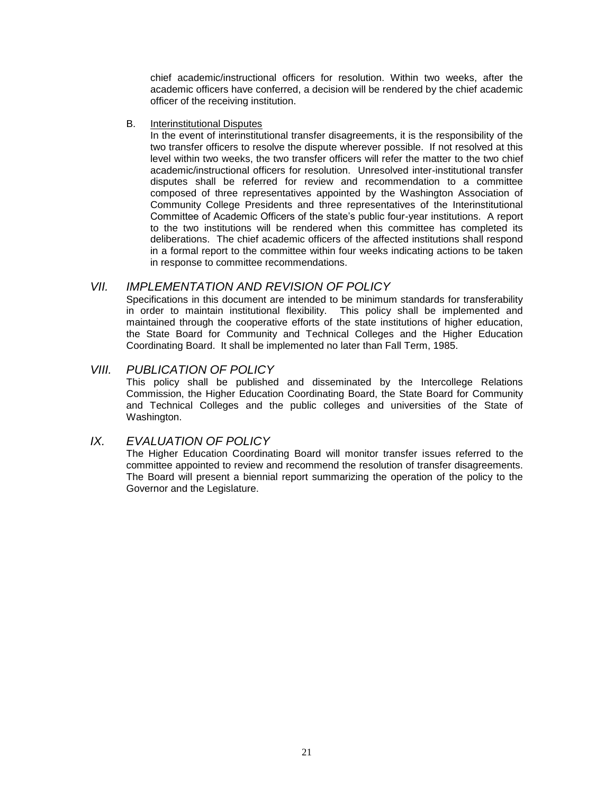chief academic/instructional officers for resolution. Within two weeks, after the academic officers have conferred, a decision will be rendered by the chief academic officer of the receiving institution.

B. Interinstitutional Disputes

In the event of interinstitutional transfer disagreements, it is the responsibility of the two transfer officers to resolve the dispute wherever possible. If not resolved at this level within two weeks, the two transfer officers will refer the matter to the two chief academic/instructional officers for resolution. Unresolved inter-institutional transfer disputes shall be referred for review and recommendation to a committee composed of three representatives appointed by the Washington Association of Community College Presidents and three representatives of the Interinstitutional Committee of Academic Officers of the state's public four-year institutions. A report to the two institutions will be rendered when this committee has completed its deliberations. The chief academic officers of the affected institutions shall respond in a formal report to the committee within four weeks indicating actions to be taken in response to committee recommendations.

# *VII. IMPLEMENTATION AND REVISION OF POLICY*

Specifications in this document are intended to be minimum standards for transferability in order to maintain institutional flexibility. This policy shall be implemented and maintained through the cooperative efforts of the state institutions of higher education, the State Board for Community and Technical Colleges and the Higher Education Coordinating Board. It shall be implemented no later than Fall Term, 1985.

# *VIII. PUBLICATION OF POLICY*

This policy shall be published and disseminated by the Intercollege Relations Commission, the Higher Education Coordinating Board, the State Board for Community and Technical Colleges and the public colleges and universities of the State of Washington.

# *IX. EVALUATION OF POLICY*

The Higher Education Coordinating Board will monitor transfer issues referred to the committee appointed to review and recommend the resolution of transfer disagreements. The Board will present a biennial report summarizing the operation of the policy to the Governor and the Legislature.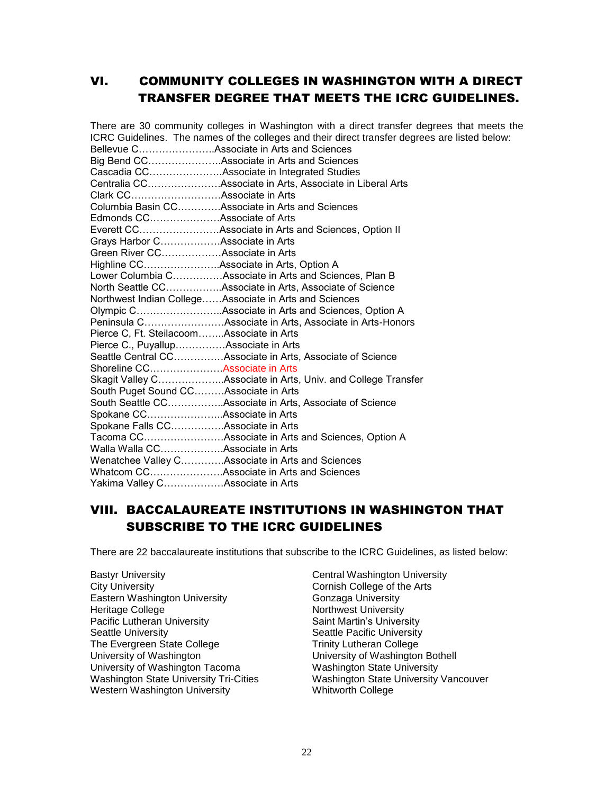# VI. COMMUNITY COLLEGES IN WASHINGTON WITH A DIRECT TRANSFER DEGREE THAT MEETS THE ICRC GUIDELINES.

There are 30 community colleges in Washington with a direct transfer degrees that meets the ICRC Guidelines. The names of the colleges and their direct transfer degrees are listed below: Bellevue C…………………..Associate in Arts and Sciences Big Bend CC………………….Associate in Arts and Sciences Cascadia CC………………….Associate in Integrated Studies Centralia CC………………….Associate in Arts, Associate in Liberal Arts Clark CC………………………Associate in Arts Columbia Basin CC………….Associate in Arts and Sciences Edmonds CC…………………Associate of Arts Everett CC……………………Associate in Arts and Sciences, Option II Grays Harbor C………………Associate in Arts Green River CC………………Associate in Arts Highline CC…………………..Associate in Arts, Option A Lower Columbia C……………Associate in Arts and Sciences, Plan B North Seattle CC……………..Associate in Arts, Associate of Science Northwest Indian College……Associate in Arts and Sciences Olympic C……………………..Associate in Arts and Sciences, Option A Peninsula C……………………Associate in Arts, Associate in Arts-Honors Pierce C, Ft. Steilacoom……..Associate in Arts Pierce C., Puyallup……………Associate in Arts Seattle Central CC……………Associate in Arts, Associate of Science Shoreline CC………………….Associate in Arts Skagit Valley C………………..Associate in Arts, Univ. and College Transfer South Puget Sound CC………Associate in Arts South Seattle CC……………..Associate in Arts, Associate of Science Spokane CC…………………..Associate in Arts Spokane Falls CC…………….Associate in Arts Tacoma CC……………………Associate in Arts and Sciences, Option A Walla Walla CC……………….Associate in Arts Wenatchee Valley C………….Associate in Arts and Sciences Whatcom CC………………….Associate in Arts and Sciences Yakima Valley C………………Associate in Arts

# VIII. BACCALAUREATE INSTITUTIONS IN WASHINGTON THAT SUBSCRIBE TO THE ICRC GUIDELINES

There are 22 baccalaureate institutions that subscribe to the ICRC Guidelines, as listed below:

- Bastyr University **Central Washington University** City University<br>
Eastern Washington University<br>
Conzaga University<br>
Gonzaga University Eastern Washington University Heritage College Northwest University Pacific Lutheran University **Saint Martin's University** Seattle University **Seattle Pacific University** Seattle Pacific University The Evergreen State College The Trinity Lutheran College University of Washington<br>
University of Washington Tacoma<br>
Washington State University University of Washington Tacoma<br>Washington State University Tri-Cities Western Washington University **Whitworth College** 
	- Washington State University Vancouver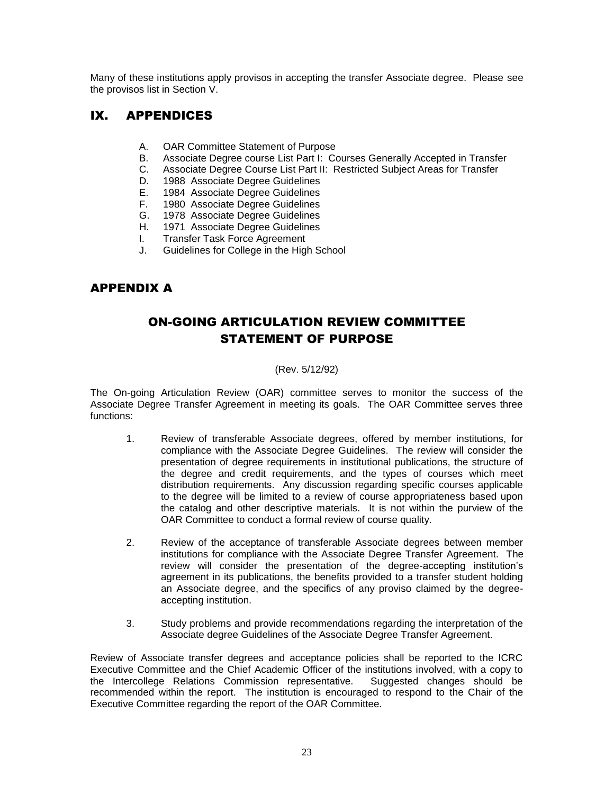Many of these institutions apply provisos in accepting the transfer Associate degree. Please see the provisos list in Section V.

# IX. APPENDICES

- A. OAR Committee Statement of Purpose
- B. Associate Degree course List Part I: Courses Generally Accepted in Transfer
- C. Associate Degree Course List Part II: Restricted Subject Areas for Transfer
- 1988 Associate Degree Guidelines
- E. 1984 Associate Degree Guidelines
- F. 1980 Associate Degree Guidelines
- G. 1978 Associate Degree Guidelines
- H. 1971 Associate Degree Guidelines
- I. Transfer Task Force Agreement
- J. Guidelines for College in the High School

# APPENDIX A

# ON-GOING ARTICULATION REVIEW COMMITTEE STATEMENT OF PURPOSE

### (Rev. 5/12/92)

The On-going Articulation Review (OAR) committee serves to monitor the success of the Associate Degree Transfer Agreement in meeting its goals. The OAR Committee serves three functions:

- 1. Review of transferable Associate degrees, offered by member institutions, for compliance with the Associate Degree Guidelines. The review will consider the presentation of degree requirements in institutional publications, the structure of the degree and credit requirements, and the types of courses which meet distribution requirements. Any discussion regarding specific courses applicable to the degree will be limited to a review of course appropriateness based upon the catalog and other descriptive materials. It is not within the purview of the OAR Committee to conduct a formal review of course quality.
- 2. Review of the acceptance of transferable Associate degrees between member institutions for compliance with the Associate Degree Transfer Agreement. The review will consider the presentation of the degree-accepting institution's agreement in its publications, the benefits provided to a transfer student holding an Associate degree, and the specifics of any proviso claimed by the degreeaccepting institution.
- 3. Study problems and provide recommendations regarding the interpretation of the Associate degree Guidelines of the Associate Degree Transfer Agreement.

Review of Associate transfer degrees and acceptance policies shall be reported to the ICRC Executive Committee and the Chief Academic Officer of the institutions involved, with a copy to the Intercollege Relations Commission representative. Suggested changes should be recommended within the report. The institution is encouraged to respond to the Chair of the Executive Committee regarding the report of the OAR Committee.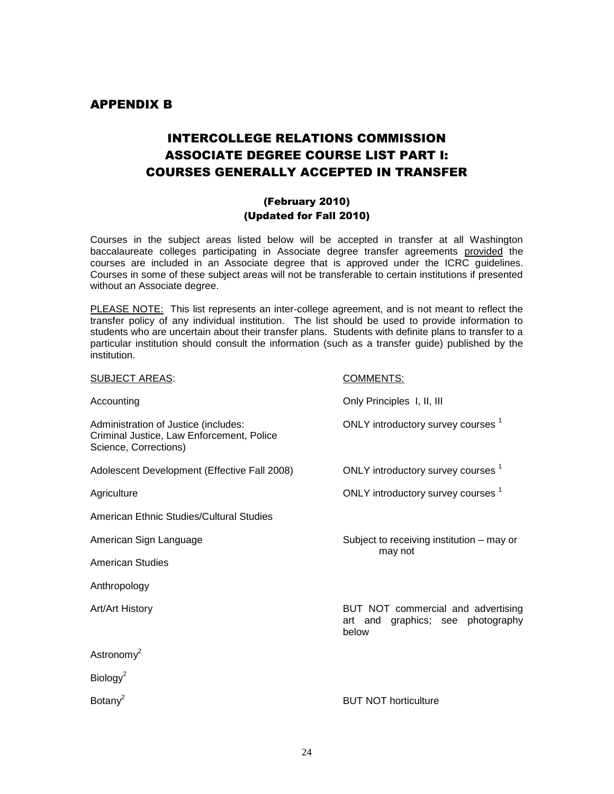# APPENDIX B

# INTERCOLLEGE RELATIONS COMMISSION ASSOCIATE DEGREE COURSE LIST PART I: COURSES GENERALLY ACCEPTED IN TRANSFER

# (February 2010) (Updated for Fall 2010)

Courses in the subject areas listed below will be accepted in transfer at all Washington baccalaureate colleges participating in Associate degree transfer agreements provided the courses are included in an Associate degree that is approved under the ICRC guidelines. Courses in some of these subject areas will not be transferable to certain institutions if presented without an Associate degree.

PLEASE NOTE: This list represents an inter-college agreement, and is not meant to reflect the transfer policy of any individual institution. The list should be used to provide information to students who are uncertain about their transfer plans. Students with definite plans to transfer to a particular institution should consult the information (such as a transfer guide) published by the institution.

| <b>SUBJECT AREAS:</b>                                                                                      | <b>COMMENTS:</b>                                                                    |
|------------------------------------------------------------------------------------------------------------|-------------------------------------------------------------------------------------|
| Accounting                                                                                                 | Only Principles I, II, III                                                          |
| Administration of Justice (includes:<br>Criminal Justice, Law Enforcement, Police<br>Science, Corrections) | ONLY introductory survey courses <sup>1</sup>                                       |
| Adolescent Development (Effective Fall 2008)                                                               | ONLY introductory survey courses <sup>1</sup>                                       |
| Agriculture                                                                                                | ONLY introductory survey courses <sup>1</sup>                                       |
| American Ethnic Studies/Cultural Studies                                                                   |                                                                                     |
| American Sign Language                                                                                     | Subject to receiving institution – may or                                           |
| <b>American Studies</b>                                                                                    | may not                                                                             |
| Anthropology                                                                                               |                                                                                     |
| Art/Art History                                                                                            | BUT NOT commercial and advertising<br>graphics; see photography<br>art and<br>below |
| Astronomy <sup>2</sup>                                                                                     |                                                                                     |
| Biology <sup>2</sup>                                                                                       |                                                                                     |
| Botany <sup>2</sup>                                                                                        | <b>BUT NOT horticulture</b>                                                         |
|                                                                                                            |                                                                                     |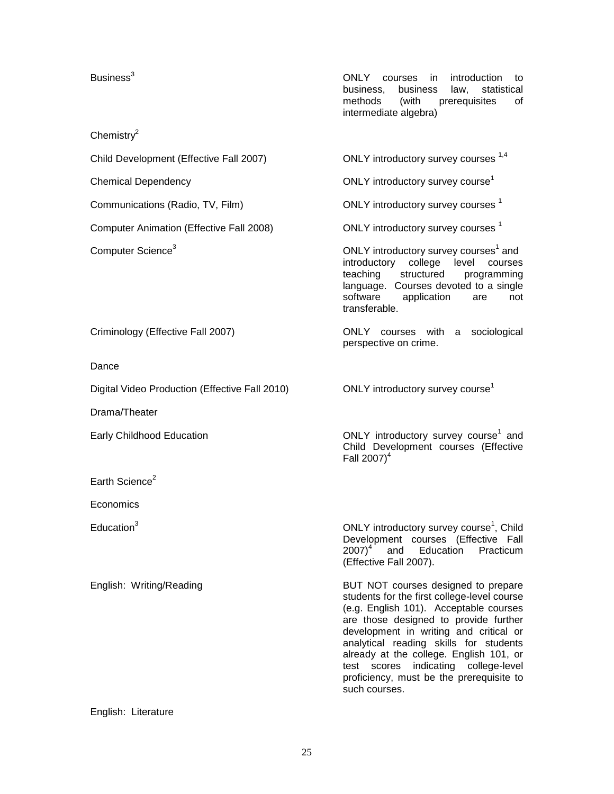#### Chemistr $v^2$

Child Development (Effective Fall 2007) ONLY introductory survey courses <sup>1,4</sup>

Computer Animation (Effective Fall 2008) ONLY introductory survey courses <sup>1</sup>

Business<sup>3</sup> Courses in introduction to be seen to be seen to be seen to be seen to be seen to be seen to be seen to business, business law, statistical methods (with prerequisites of intermediate algebra)

Chemical Dependency Chemical Dependency Chemical Dependency

Communications (Radio, TV, Film) CONLY introductory survey courses <sup>1</sup>

Computer Science<sup>3</sup> and Computer Science<sup>3</sup> computer Science<sup>3</sup> and introductory college level courses teaching structured programming language. Courses devoted to a single software application are not transferable.

Criminology (Effective Fall 2007) ONLY courses with a sociological perspective on crime.

Dance

Digital Video Production (Effective Fall 2010) ONLY introductory survey course<sup>1</sup>

Drama/Theater

Earth Science $2$ 

**Economics** 

Early Childhood Education **Contact Construction** ONLY introductory survey course<sup>1</sup> and Child Development courses (Effective Fall  $2007)^4$ 

Education<sup>3</sup> Child Education<sup>3</sup> CONLY introductory survey course<sup>1</sup>, Child Development courses (Effective Fall 2007)<sup>4</sup> and Education Practicum (Effective Fall 2007).

English: Writing/Reading BUT NOT courses designed to prepare students for the first college-level course (e.g. English 101). Acceptable courses are those designed to provide further development in writing and critical or analytical reading skills for students already at the college. English 101, or test scores indicating college-level proficiency, must be the prerequisite to such courses.

#### English: Literature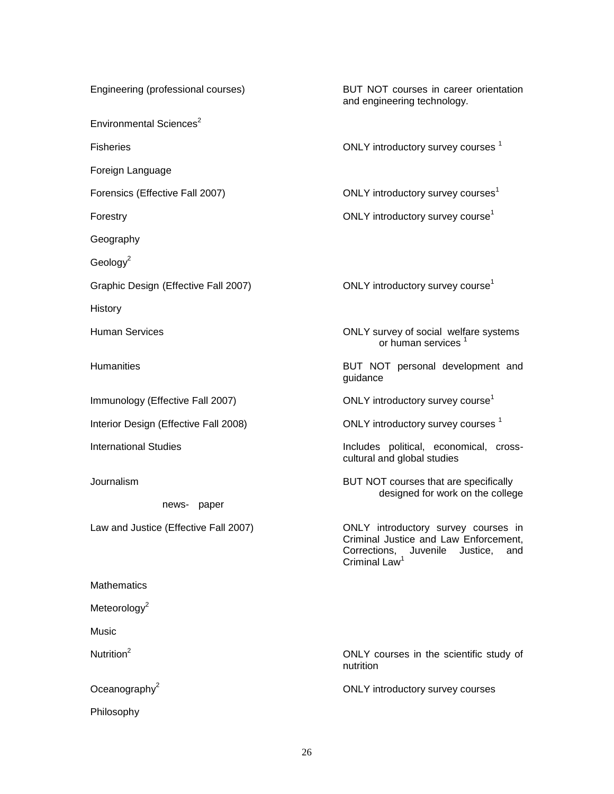Environmental Sciences<sup>2</sup>

Foreign Language

Geography

 $Geology<sup>2</sup>$ 

Graphic Design (Effective Fall 2007) **ONLY** introductory survey course<sup>1</sup>

**History** 

news- paper

**Mathematics** 

Meteorology<sup>2</sup>

**Music** 

Philosophy

Engineering (professional courses) BUT NOT courses in career orientation and engineering technology.

Fisheries **Fisheries CONLY** introductory survey courses  $\frac{1}{2}$ 

Forensics (Effective Fall 2007) CONLY introductory survey courses<sup>1</sup>

Forestry **Forestry CONLY** introductory survey course<sup>1</sup>

Human Services **CONLY** survey of social welfare systems or human services<sup>1</sup>

Humanities BUT NOT personal development and guidance

Immunology (Effective Fall 2007) CONLY introductory survey course<sup>1</sup>

Interior Design (Effective Fall 2008) The Solution ONLY introductory survey courses 1

International Studies **International Studies Includes** political, economical, crosscultural and global studies

Journalism BUT NOT courses that are specifically designed for work on the college

Law and Justice (Effective Fall 2007) ONLY introductory survey courses in Criminal Justice and Law Enforcement, Corrections, Juvenile Justice, and Criminal Law<sup>1</sup>

Nutrition<sup>2</sup> Nutrition<sup>2</sup> ONLY courses in the scientific study of nutrition

 $Oceanography<sup>2</sup>$  ONLY introductory survey courses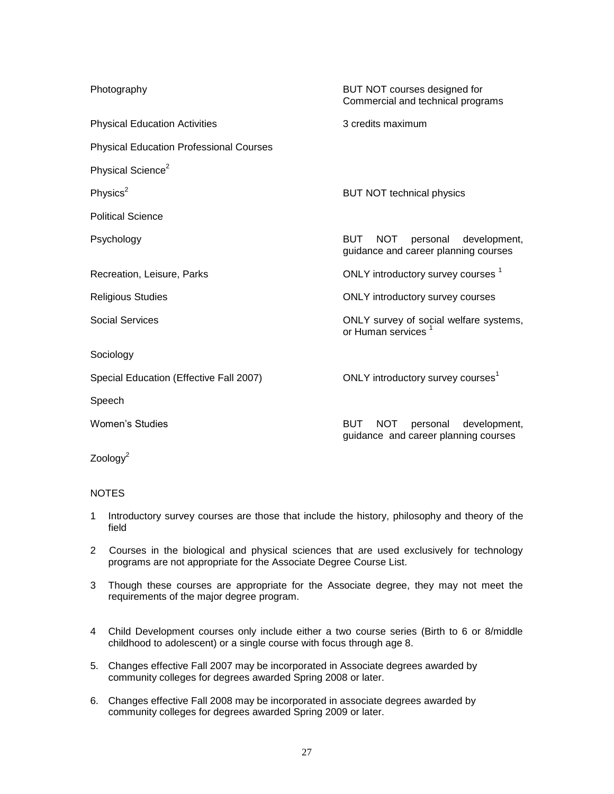| Photography                                    | BUT NOT courses designed for<br>Commercial and technical programs                            |  |
|------------------------------------------------|----------------------------------------------------------------------------------------------|--|
| <b>Physical Education Activities</b>           | 3 credits maximum                                                                            |  |
| <b>Physical Education Professional Courses</b> |                                                                                              |  |
| Physical Science <sup>2</sup>                  |                                                                                              |  |
| Physics $2$                                    | <b>BUT NOT technical physics</b>                                                             |  |
| <b>Political Science</b>                       |                                                                                              |  |
| Psychology                                     | <b>NOT</b><br><b>BUT</b><br>personal<br>development,<br>guidance and career planning courses |  |
| Recreation, Leisure, Parks                     | ONLY introductory survey courses <sup>1</sup>                                                |  |
| <b>Religious Studies</b>                       | <b>ONLY introductory survey courses</b>                                                      |  |
| <b>Social Services</b>                         | ONLY survey of social welfare systems,<br>or Human services                                  |  |
| Sociology                                      |                                                                                              |  |
| Special Education (Effective Fall 2007)        | ONLY introductory survey courses <sup>1</sup>                                                |  |
| Speech                                         |                                                                                              |  |
| <b>Women's Studies</b>                         | <b>BUT</b><br><b>NOT</b><br>development,<br>personal<br>guidance and career planning courses |  |
| Zoology <sup>2</sup>                           |                                                                                              |  |

#### **NOTES**

- 1 Introductory survey courses are those that include the history, philosophy and theory of the field
- 2 Courses in the biological and physical sciences that are used exclusively for technology programs are not appropriate for the Associate Degree Course List.
- 3 Though these courses are appropriate for the Associate degree, they may not meet the requirements of the major degree program.
- 4 Child Development courses only include either a two course series (Birth to 6 or 8/middle childhood to adolescent) or a single course with focus through age 8.
- 5. Changes effective Fall 2007 may be incorporated in Associate degrees awarded by community colleges for degrees awarded Spring 2008 or later.
- 6. Changes effective Fall 2008 may be incorporated in associate degrees awarded by community colleges for degrees awarded Spring 2009 or later.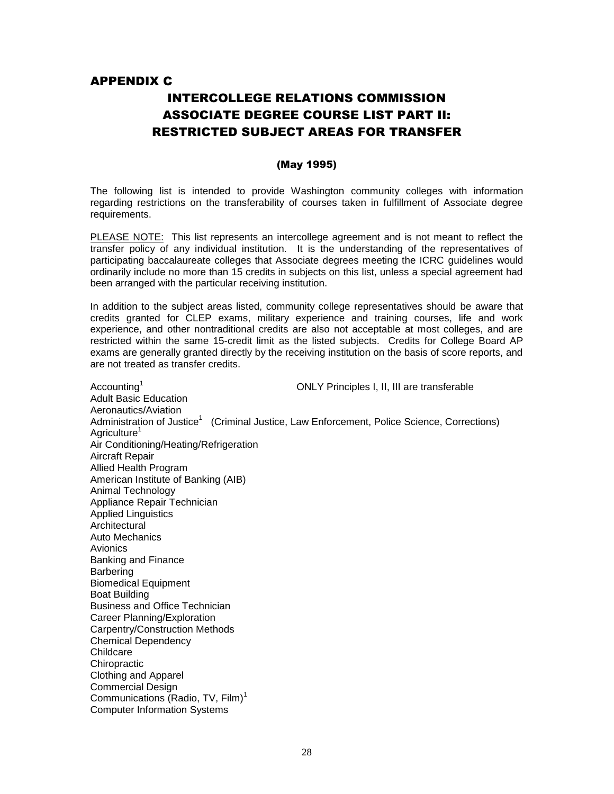# APPENDIX C

# INTERCOLLEGE RELATIONS COMMISSION ASSOCIATE DEGREE COURSE LIST PART II: RESTRICTED SUBJECT AREAS FOR TRANSFER

#### (May 1995)

The following list is intended to provide Washington community colleges with information regarding restrictions on the transferability of courses taken in fulfillment of Associate degree requirements.

PLEASE NOTE: This list represents an intercollege agreement and is not meant to reflect the transfer policy of any individual institution. It is the understanding of the representatives of participating baccalaureate colleges that Associate degrees meeting the ICRC guidelines would ordinarily include no more than 15 credits in subjects on this list, unless a special agreement had been arranged with the particular receiving institution.

In addition to the subject areas listed, community college representatives should be aware that credits granted for CLEP exams, military experience and training courses, life and work experience, and other nontraditional credits are also not acceptable at most colleges, and are restricted within the same 15-credit limit as the listed subjects. Credits for College Board AP exams are generally granted directly by the receiving institution on the basis of score reports, and are not treated as transfer credits.

Accounting<sup>1</sup> ONLY Principles I, II, III are transferable Adult Basic Education Aeronautics/Aviation Administration of Justice<sup>1</sup> (Criminal Justice, Law Enforcement, Police Science, Corrections) Agriculture<sup>1</sup> Air Conditioning/Heating/Refrigeration Aircraft Repair Allied Health Program American Institute of Banking (AIB) Animal Technology Appliance Repair Technician Applied Linguistics **Architectural** Auto Mechanics **Avionics** Banking and Finance Barbering Biomedical Equipment Boat Building Business and Office Technician Career Planning/Exploration Carpentry/Construction Methods Chemical Dependency **Childcare Chiropractic** Clothing and Apparel Commercial Design Communications (Radio, TV,  $Film$ )<sup>1</sup> Computer Information Systems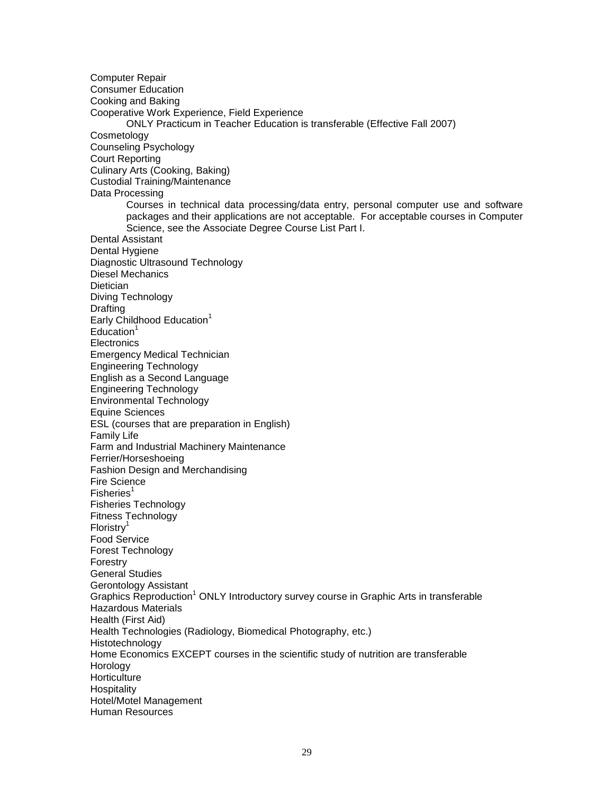Computer Repair Consumer Education Cooking and Baking Cooperative Work Experience, Field Experience ONLY Practicum in Teacher Education is transferable (Effective Fall 2007) Cosmetology Counseling Psychology Court Reporting Culinary Arts (Cooking, Baking) Custodial Training/Maintenance Data Processing Courses in technical data processing/data entry, personal computer use and software packages and their applications are not acceptable. For acceptable courses in Computer Science, see the Associate Degree Course List Part I. Dental Assistant Dental Hygiene Diagnostic Ultrasound Technology Diesel Mechanics **Dietician** Diving Technology **Drafting** Early Childhood Education $1$  $Education<sup>1</sup>$ **Electronics** Emergency Medical Technician Engineering Technology English as a Second Language Engineering Technology Environmental Technology Equine Sciences ESL (courses that are preparation in English) Family Life Farm and Industrial Machinery Maintenance Ferrier/Horseshoeing Fashion Design and Merchandising Fire Science  $F$ isheries<sup>1</sup> Fisheries Technology Fitness Technology Floristry<sup>1</sup> Food Service Forest Technology Forestry General Studies Gerontology Assistant Graphics Reproduction<sup>1</sup> ONLY Introductory survey course in Graphic Arts in transferable Hazardous Materials Health (First Aid) Health Technologies (Radiology, Biomedical Photography, etc.) Histotechnology Home Economics EXCEPT courses in the scientific study of nutrition are transferable Horology **Horticulture Hospitality** Hotel/Motel Management Human Resources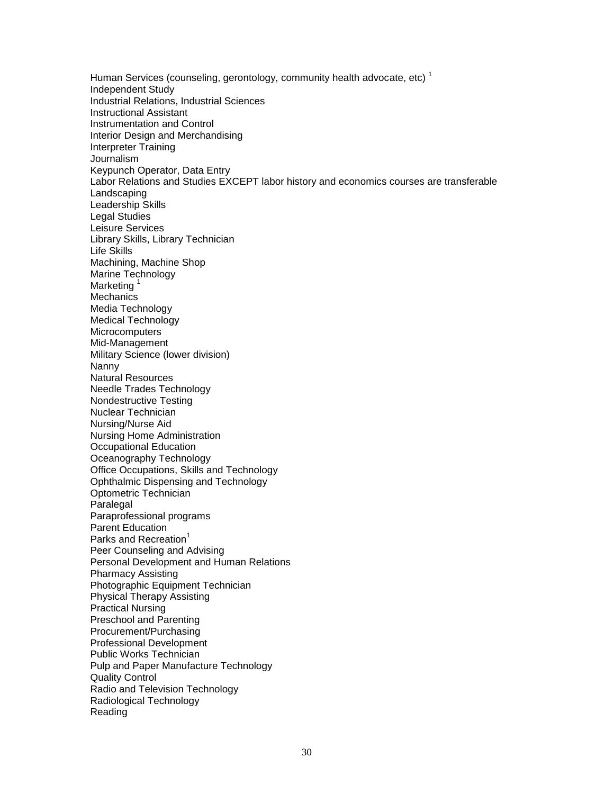Human Services (counseling, gerontology, community health advocate, etc)<sup>1</sup> Independent Study Industrial Relations, Industrial Sciences Instructional Assistant Instrumentation and Control Interior Design and Merchandising Interpreter Training **Journalism** Keypunch Operator, Data Entry Labor Relations and Studies EXCEPT labor history and economics courses are transferable Landscaping Leadership Skills Legal Studies Leisure Services Library Skills, Library Technician Life Skills Machining, Machine Shop Marine Technology Marketing<sup>1</sup> **Mechanics** Media Technology Medical Technology **Microcomputers** Mid-Management Military Science (lower division) Nanny Natural Resources Needle Trades Technology Nondestructive Testing Nuclear Technician Nursing/Nurse Aid Nursing Home Administration Occupational Education Oceanography Technology Office Occupations, Skills and Technology Ophthalmic Dispensing and Technology Optometric Technician Paralegal Paraprofessional programs Parent Education Parks and Recreation<sup>1</sup> Peer Counseling and Advising Personal Development and Human Relations Pharmacy Assisting Photographic Equipment Technician Physical Therapy Assisting Practical Nursing Preschool and Parenting Procurement/Purchasing Professional Development Public Works Technician Pulp and Paper Manufacture Technology Quality Control Radio and Television Technology Radiological Technology Reading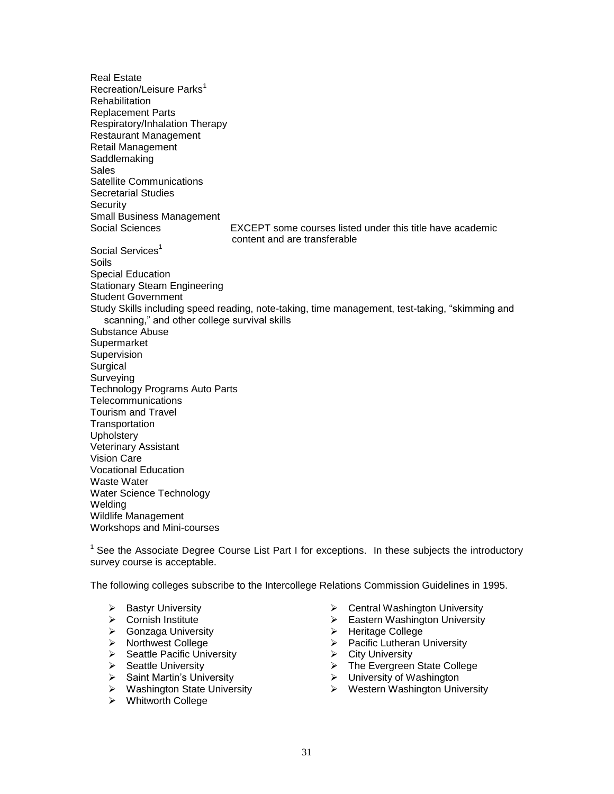Real Estate Recreation/Leisure Parks<sup>1</sup> **Rehabilitation** Replacement Parts Respiratory/Inhalation Therapy Restaurant Management Retail Management **Saddlemaking** Sales Satellite Communications Secretarial Studies **Security** Small Business Management Social Sciences EXCEPT some courses listed under this title have academic content and are transferable Social Services<sup>1</sup> Soils Special Education Stationary Steam Engineering Student Government Study Skills including speed reading, note-taking, time management, test-taking, "skimming and scanning," and other college survival skills Substance Abuse **Supermarket Supervision Surgical** Surveying Technology Programs Auto Parts **Telecommunications** Tourism and Travel **Transportation Upholstery** Veterinary Assistant Vision Care Vocational Education Waste Water Water Science Technology Welding Wildlife Management Workshops and Mini-courses

<sup>1</sup> See the Associate Degree Course List Part I for exceptions. In these subjects the introductory survey course is acceptable.

The following colleges subscribe to the Intercollege Relations Commission Guidelines in 1995.

- 
- 
- ▶ Gonzaga University **Access Access** Access Access Access Access Access Access Access Access Access Access Access Access Access Access Access Access Access Access Access Access Access Access Access Access Access Access Ac
- 
- > Seattle Pacific University → City University<br>
> Seattle University → The Evergreen
- 
- > Saint Martin's University > University of Washington<br>
→ Washington State University > Western Washington Univ
- 
- Whitworth College
- ▶ Bastyr University **Central Washington University**
- ▶ Cornish Institute **Eastern Washington University** 
	-
- > Northwest College <br>
> Pacific Lutheran University
	-
	- $\triangleright$  The Evergreen State College
	-
	- $\triangleright$  Western Washington University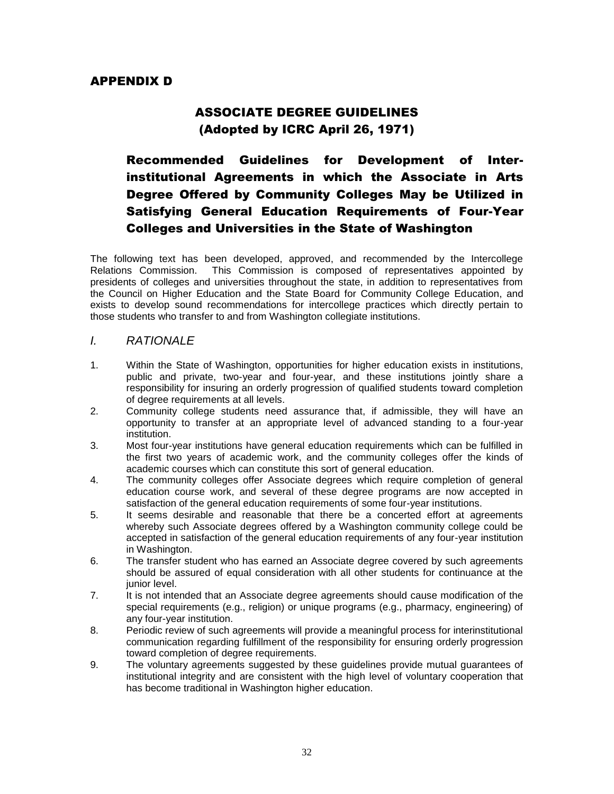# ASSOCIATE DEGREE GUIDELINES (Adopted by ICRC April 26, 1971)

# Recommended Guidelines for Development of Interinstitutional Agreements in which the Associate in Arts Degree Offered by Community Colleges May be Utilized in Satisfying General Education Requirements of Four-Year Colleges and Universities in the State of Washington

The following text has been developed, approved, and recommended by the Intercollege Relations Commission. This Commission is composed of representatives appointed by presidents of colleges and universities throughout the state, in addition to representatives from the Council on Higher Education and the State Board for Community College Education, and exists to develop sound recommendations for intercollege practices which directly pertain to those students who transfer to and from Washington collegiate institutions.

# *I. RATIONALE*

- 1. Within the State of Washington, opportunities for higher education exists in institutions, public and private, two-year and four-year, and these institutions jointly share a responsibility for insuring an orderly progression of qualified students toward completion of degree requirements at all levels.
- 2. Community college students need assurance that, if admissible, they will have an opportunity to transfer at an appropriate level of advanced standing to a four-year institution.
- 3. Most four-year institutions have general education requirements which can be fulfilled in the first two years of academic work, and the community colleges offer the kinds of academic courses which can constitute this sort of general education.
- 4. The community colleges offer Associate degrees which require completion of general education course work, and several of these degree programs are now accepted in satisfaction of the general education requirements of some four-year institutions.
- 5. It seems desirable and reasonable that there be a concerted effort at agreements whereby such Associate degrees offered by a Washington community college could be accepted in satisfaction of the general education requirements of any four-year institution in Washington.
- 6. The transfer student who has earned an Associate degree covered by such agreements should be assured of equal consideration with all other students for continuance at the junior level.
- 7. It is not intended that an Associate degree agreements should cause modification of the special requirements (e.g., religion) or unique programs (e.g., pharmacy, engineering) of any four-year institution.
- 8. Periodic review of such agreements will provide a meaningful process for interinstitutional communication regarding fulfillment of the responsibility for ensuring orderly progression toward completion of degree requirements.
- 9. The voluntary agreements suggested by these guidelines provide mutual guarantees of institutional integrity and are consistent with the high level of voluntary cooperation that has become traditional in Washington higher education.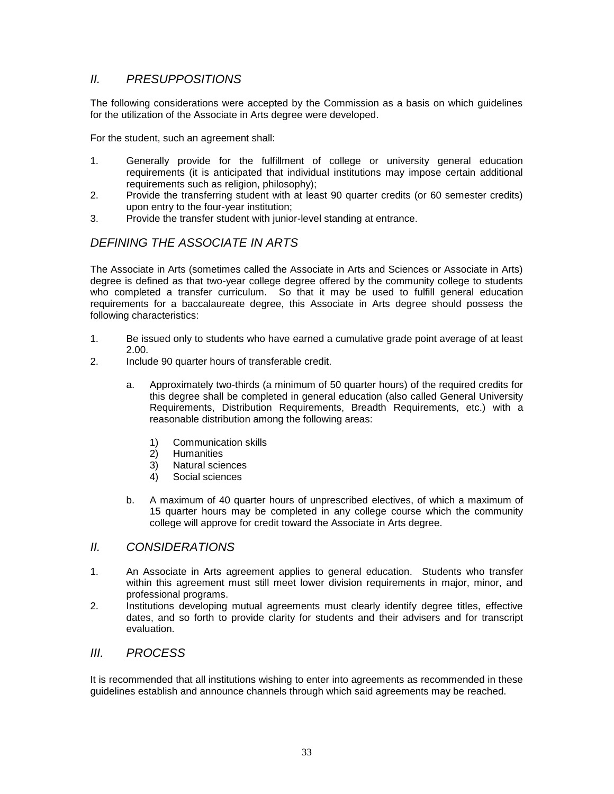# *II. PRESUPPOSITIONS*

The following considerations were accepted by the Commission as a basis on which guidelines for the utilization of the Associate in Arts degree were developed.

For the student, such an agreement shall:

- 1. Generally provide for the fulfillment of college or university general education requirements (it is anticipated that individual institutions may impose certain additional requirements such as religion, philosophy);
- 2. Provide the transferring student with at least 90 quarter credits (or 60 semester credits) upon entry to the four-year institution;
- 3. Provide the transfer student with junior-level standing at entrance.

# *DEFINING THE ASSOCIATE IN ARTS*

The Associate in Arts (sometimes called the Associate in Arts and Sciences or Associate in Arts) degree is defined as that two-year college degree offered by the community college to students who completed a transfer curriculum. So that it may be used to fulfill general education requirements for a baccalaureate degree, this Associate in Arts degree should possess the following characteristics:

- 1. Be issued only to students who have earned a cumulative grade point average of at least 2.00.
- 2. Include 90 quarter hours of transferable credit.
	- a. Approximately two-thirds (a minimum of 50 quarter hours) of the required credits for this degree shall be completed in general education (also called General University Requirements, Distribution Requirements, Breadth Requirements, etc.) with a reasonable distribution among the following areas:
		- 1) Communication skills
		- 2) Humanities
		- 3) Natural sciences
		- 4) Social sciences
	- b. A maximum of 40 quarter hours of unprescribed electives, of which a maximum of 15 quarter hours may be completed in any college course which the community college will approve for credit toward the Associate in Arts degree.

### *II. CONSIDERATIONS*

- 1. An Associate in Arts agreement applies to general education. Students who transfer within this agreement must still meet lower division requirements in major, minor, and professional programs.
- 2. Institutions developing mutual agreements must clearly identify degree titles, effective dates, and so forth to provide clarity for students and their advisers and for transcript evaluation.

# *III. PROCESS*

It is recommended that all institutions wishing to enter into agreements as recommended in these guidelines establish and announce channels through which said agreements may be reached.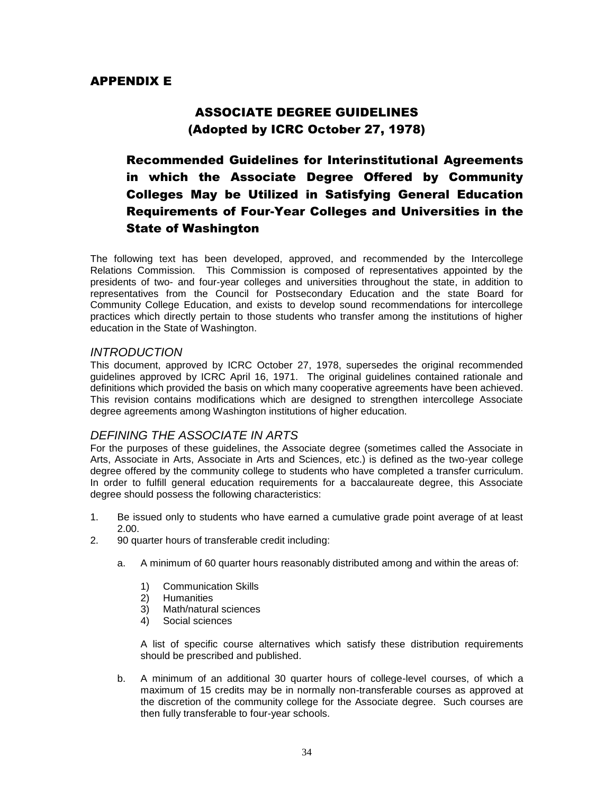# APPENDIX E

# ASSOCIATE DEGREE GUIDELINES (Adopted by ICRC October 27, 1978)

# Recommended Guidelines for Interinstitutional Agreements in which the Associate Degree Offered by Community Colleges May be Utilized in Satisfying General Education Requirements of Four-Year Colleges and Universities in the State of Washington

The following text has been developed, approved, and recommended by the Intercollege Relations Commission. This Commission is composed of representatives appointed by the presidents of two- and four-year colleges and universities throughout the state, in addition to representatives from the Council for Postsecondary Education and the state Board for Community College Education, and exists to develop sound recommendations for intercollege practices which directly pertain to those students who transfer among the institutions of higher education in the State of Washington.

### *INTRODUCTION*

This document, approved by ICRC October 27, 1978, supersedes the original recommended guidelines approved by ICRC April 16, 1971. The original guidelines contained rationale and definitions which provided the basis on which many cooperative agreements have been achieved. This revision contains modifications which are designed to strengthen intercollege Associate degree agreements among Washington institutions of higher education.

# *DEFINING THE ASSOCIATE IN ARTS*

For the purposes of these guidelines, the Associate degree (sometimes called the Associate in Arts, Associate in Arts, Associate in Arts and Sciences, etc.) is defined as the two-year college degree offered by the community college to students who have completed a transfer curriculum. In order to fulfill general education requirements for a baccalaureate degree, this Associate degree should possess the following characteristics:

- 1. Be issued only to students who have earned a cumulative grade point average of at least 2.00.
- 2. 90 quarter hours of transferable credit including:
	- a. A minimum of 60 quarter hours reasonably distributed among and within the areas of:
		- 1) Communication Skills
		- 2) Humanities
		- 3) Math/natural sciences
		- 4) Social sciences

A list of specific course alternatives which satisfy these distribution requirements should be prescribed and published.

b. A minimum of an additional 30 quarter hours of college-level courses, of which a maximum of 15 credits may be in normally non-transferable courses as approved at the discretion of the community college for the Associate degree. Such courses are then fully transferable to four-year schools.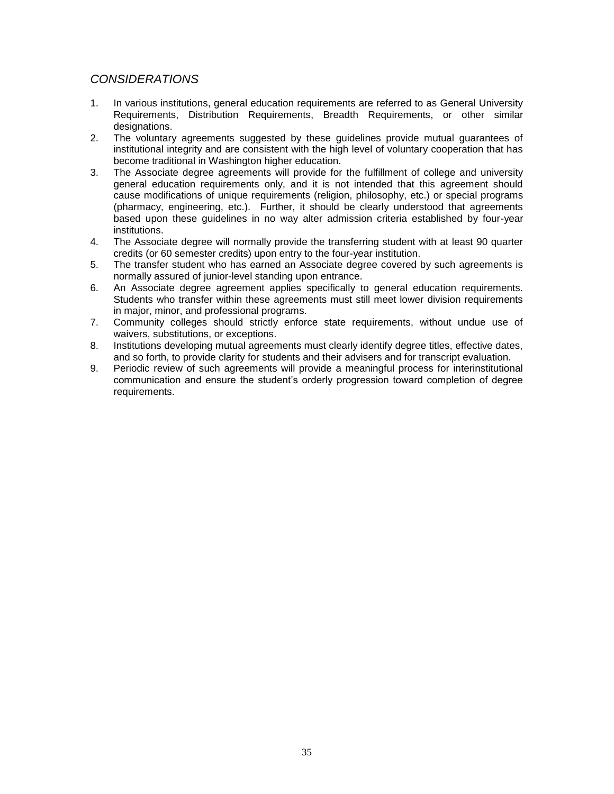# *CONSIDERATIONS*

- 1. In various institutions, general education requirements are referred to as General University Requirements, Distribution Requirements, Breadth Requirements, or other similar designations.
- 2. The voluntary agreements suggested by these guidelines provide mutual guarantees of institutional integrity and are consistent with the high level of voluntary cooperation that has become traditional in Washington higher education.
- 3. The Associate degree agreements will provide for the fulfillment of college and university general education requirements only, and it is not intended that this agreement should cause modifications of unique requirements (religion, philosophy, etc.) or special programs (pharmacy, engineering, etc.). Further, it should be clearly understood that agreements based upon these guidelines in no way alter admission criteria established by four-year institutions.
- 4. The Associate degree will normally provide the transferring student with at least 90 quarter credits (or 60 semester credits) upon entry to the four-year institution.
- 5. The transfer student who has earned an Associate degree covered by such agreements is normally assured of junior-level standing upon entrance.
- 6. An Associate degree agreement applies specifically to general education requirements. Students who transfer within these agreements must still meet lower division requirements in major, minor, and professional programs.
- 7. Community colleges should strictly enforce state requirements, without undue use of waivers, substitutions, or exceptions.
- 8. Institutions developing mutual agreements must clearly identify degree titles, effective dates, and so forth, to provide clarity for students and their advisers and for transcript evaluation.
- 9. Periodic review of such agreements will provide a meaningful process for interinstitutional communication and ensure the student's orderly progression toward completion of degree requirements.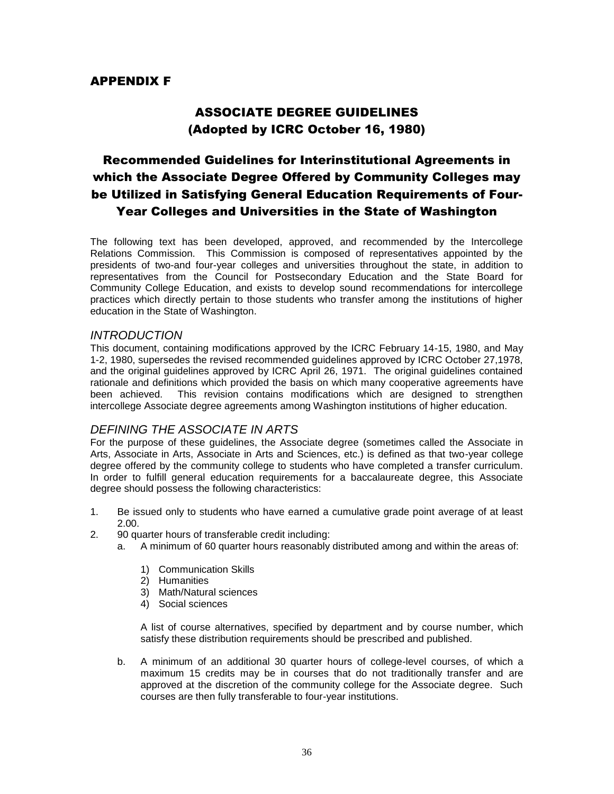# APPENDIX F

# ASSOCIATE DEGREE GUIDELINES (Adopted by ICRC October 16, 1980)

# Recommended Guidelines for Interinstitutional Agreements in which the Associate Degree Offered by Community Colleges may be Utilized in Satisfying General Education Requirements of Four-Year Colleges and Universities in the State of Washington

The following text has been developed, approved, and recommended by the Intercollege Relations Commission. This Commission is composed of representatives appointed by the presidents of two-and four-year colleges and universities throughout the state, in addition to representatives from the Council for Postsecondary Education and the State Board for Community College Education, and exists to develop sound recommendations for intercollege practices which directly pertain to those students who transfer among the institutions of higher education in the State of Washington.

### *INTRODUCTION*

This document, containing modifications approved by the ICRC February 14-15, 1980, and May 1-2, 1980, supersedes the revised recommended guidelines approved by ICRC October 27,1978, and the original guidelines approved by ICRC April 26, 1971. The original guidelines contained rationale and definitions which provided the basis on which many cooperative agreements have been achieved. This revision contains modifications which are designed to strengthen intercollege Associate degree agreements among Washington institutions of higher education.

# *DEFINING THE ASSOCIATE IN ARTS*

For the purpose of these guidelines, the Associate degree (sometimes called the Associate in Arts, Associate in Arts, Associate in Arts and Sciences, etc.) is defined as that two-year college degree offered by the community college to students who have completed a transfer curriculum. In order to fulfill general education requirements for a baccalaureate degree, this Associate degree should possess the following characteristics:

- 1. Be issued only to students who have earned a cumulative grade point average of at least 2.00.
- 2. 90 quarter hours of transferable credit including:
	- a. A minimum of 60 quarter hours reasonably distributed among and within the areas of:
		- 1) Communication Skills
		- 2) Humanities
		- 3) Math/Natural sciences
		- 4) Social sciences

A list of course alternatives, specified by department and by course number, which satisfy these distribution requirements should be prescribed and published.

b. A minimum of an additional 30 quarter hours of college-level courses, of which a maximum 15 credits may be in courses that do not traditionally transfer and are approved at the discretion of the community college for the Associate degree. Such courses are then fully transferable to four-year institutions.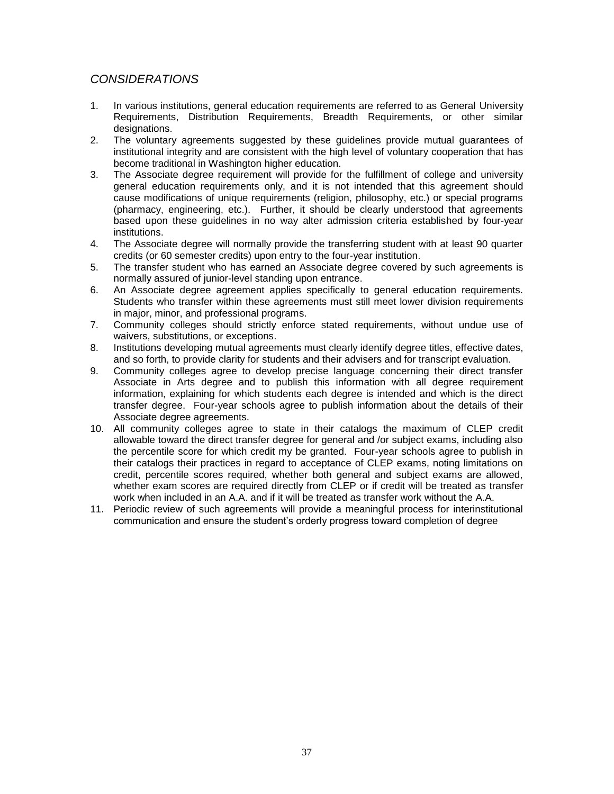# *CONSIDERATIONS*

- 1. In various institutions, general education requirements are referred to as General University Requirements, Distribution Requirements, Breadth Requirements, or other similar designations.
- 2. The voluntary agreements suggested by these guidelines provide mutual guarantees of institutional integrity and are consistent with the high level of voluntary cooperation that has become traditional in Washington higher education.
- 3. The Associate degree requirement will provide for the fulfillment of college and university general education requirements only, and it is not intended that this agreement should cause modifications of unique requirements (religion, philosophy, etc.) or special programs (pharmacy, engineering, etc.). Further, it should be clearly understood that agreements based upon these guidelines in no way alter admission criteria established by four-year institutions.
- 4. The Associate degree will normally provide the transferring student with at least 90 quarter credits (or 60 semester credits) upon entry to the four-year institution.
- 5. The transfer student who has earned an Associate degree covered by such agreements is normally assured of junior-level standing upon entrance.
- 6. An Associate degree agreement applies specifically to general education requirements. Students who transfer within these agreements must still meet lower division requirements in major, minor, and professional programs.
- 7. Community colleges should strictly enforce stated requirements, without undue use of waivers, substitutions, or exceptions.
- 8. Institutions developing mutual agreements must clearly identify degree titles, effective dates, and so forth, to provide clarity for students and their advisers and for transcript evaluation.
- 9. Community colleges agree to develop precise language concerning their direct transfer Associate in Arts degree and to publish this information with all degree requirement information, explaining for which students each degree is intended and which is the direct transfer degree. Four-year schools agree to publish information about the details of their Associate degree agreements.
- 10. All community colleges agree to state in their catalogs the maximum of CLEP credit allowable toward the direct transfer degree for general and /or subject exams, including also the percentile score for which credit my be granted. Four-year schools agree to publish in their catalogs their practices in regard to acceptance of CLEP exams, noting limitations on credit, percentile scores required, whether both general and subject exams are allowed, whether exam scores are required directly from CLEP or if credit will be treated as transfer work when included in an A.A. and if it will be treated as transfer work without the A.A.
- 11. Periodic review of such agreements will provide a meaningful process for interinstitutional communication and ensure the student's orderly progress toward completion of degree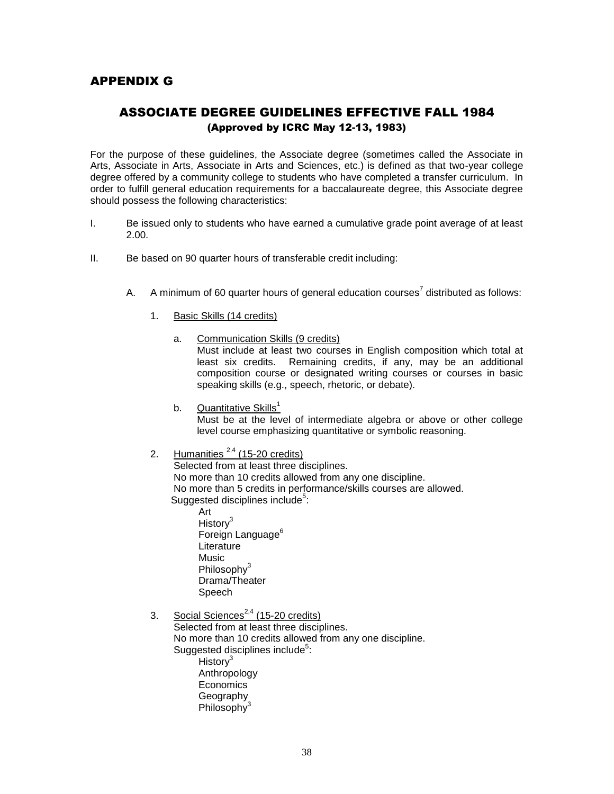# APPENDIX G

# ASSOCIATE DEGREE GUIDELINES EFFECTIVE FALL 1984 (Approved by ICRC May 12-13, 1983)

For the purpose of these guidelines, the Associate degree (sometimes called the Associate in Arts, Associate in Arts, Associate in Arts and Sciences, etc.) is defined as that two-year college degree offered by a community college to students who have completed a transfer curriculum. In order to fulfill general education requirements for a baccalaureate degree, this Associate degree should possess the following characteristics:

- I. Be issued only to students who have earned a cumulative grade point average of at least 2.00.
- II. Be based on 90 quarter hours of transferable credit including:
	- A.  $\;\;$  A minimum of 60 quarter hours of general education courses<sup>7</sup> distributed as follows:
		- 1. Basic Skills (14 credits)
			- a. Communication Skills (9 credits)

Must include at least two courses in English composition which total at least six credits. Remaining credits, if any, may be an additional composition course or designated writing courses or courses in basic speaking skills (e.g., speech, rhetoric, or debate).

- b. Quantitative  $\text{Skills}^1$ Must be at the level of intermediate algebra or above or other college level course emphasizing quantitative or symbolic reasoning.
- 2. Humanities  $2.4$  (15-20 credits)

Selected from at least three disciplines. No more than 10 credits allowed from any one discipline. No more than 5 credits in performance/skills courses are allowed. Suggested disciplines include<sup>5</sup>:

Art History<sup>3</sup> Foreign Language<sup>6</sup> **Literature Music** Philosophy<sup>3</sup> Drama/Theater Speech

3. Social Sciences<sup>2,4</sup> (15-20 credits) Selected from at least three disciplines. No more than 10 credits allowed from any one discipline. Suggested disciplines include<sup>5</sup>: History<sup>3</sup> Anthropology Economics Geography Philosophy<sup>3</sup>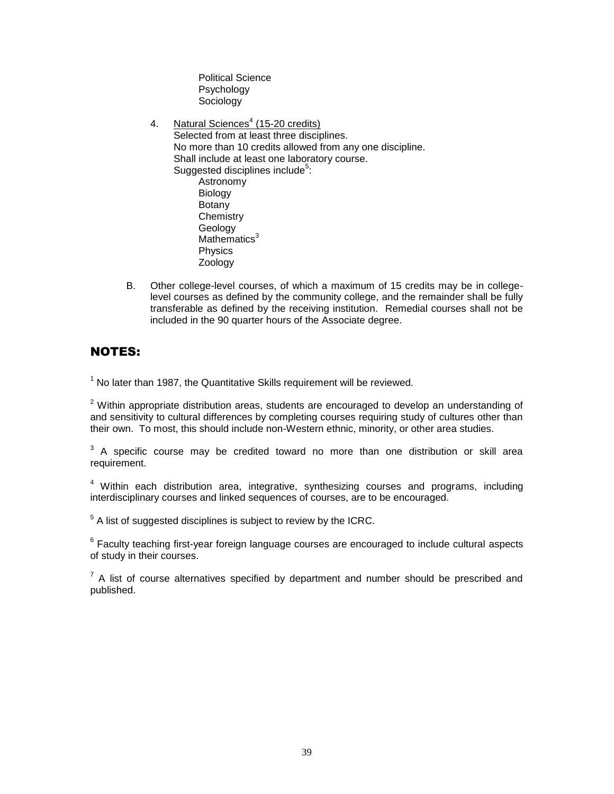Political Science Psychology Sociology

4. Natural Sciences<sup>4</sup> (15-20 credits) Selected from at least three disciplines. No more than 10 credits allowed from any one discipline. Shall include at least one laboratory course. Suggested disciplines include<sup>5</sup>: Astronomy Biology **Botany Chemistry** Geology Mathematics $3$ Physics Zoology

B. Other college-level courses, of which a maximum of 15 credits may be in collegelevel courses as defined by the community college, and the remainder shall be fully transferable as defined by the receiving institution. Remedial courses shall not be included in the 90 quarter hours of the Associate degree.

# NOTES:

 $1$  No later than 1987, the Quantitative Skills requirement will be reviewed.

 $2$  Within appropriate distribution areas, students are encouraged to develop an understanding of and sensitivity to cultural differences by completing courses requiring study of cultures other than their own. To most, this should include non-Western ethnic, minority, or other area studies.

 $3$  A specific course may be credited toward no more than one distribution or skill area requirement.

 $4$  Within each distribution area, integrative, synthesizing courses and programs, including interdisciplinary courses and linked sequences of courses, are to be encouraged.

 $5$  A list of suggested disciplines is subject to review by the ICRC.

 $6$  Faculty teaching first-year foreign language courses are encouraged to include cultural aspects of study in their courses.

 $7$  A list of course alternatives specified by department and number should be prescribed and published.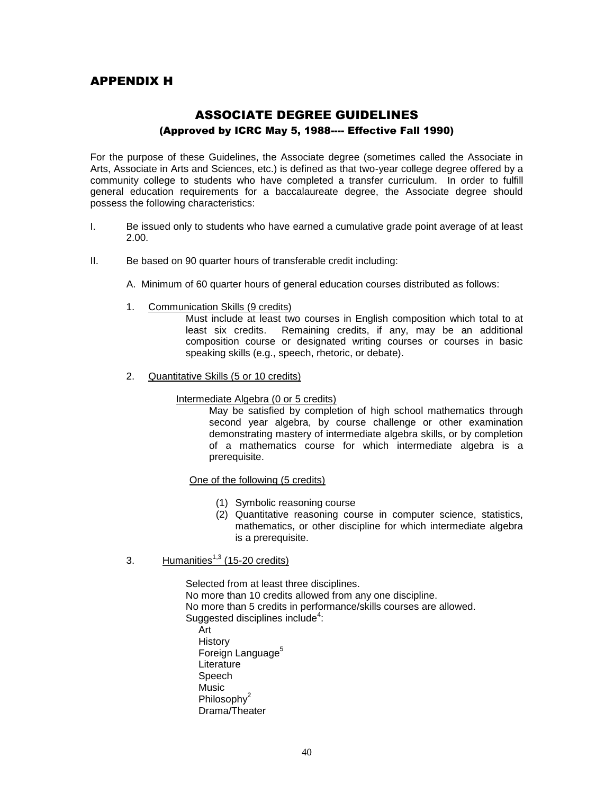# APPENDIX H

# ASSOCIATE DEGREE GUIDELINES (Approved by ICRC May 5, 1988---- Effective Fall 1990)

For the purpose of these Guidelines, the Associate degree (sometimes called the Associate in Arts, Associate in Arts and Sciences, etc.) is defined as that two-year college degree offered by a community college to students who have completed a transfer curriculum. In order to fulfill general education requirements for a baccalaureate degree, the Associate degree should possess the following characteristics:

- I. Be issued only to students who have earned a cumulative grade point average of at least 2.00.
- II. Be based on 90 quarter hours of transferable credit including:
	- A. Minimum of 60 quarter hours of general education courses distributed as follows:
	- 1. Communication Skills (9 credits)

Must include at least two courses in English composition which total to at least six credits. Remaining credits, if any, may be an additional composition course or designated writing courses or courses in basic speaking skills (e.g., speech, rhetoric, or debate).

2. Quantitative Skills (5 or 10 credits)

Intermediate Algebra (0 or 5 credits)

May be satisfied by completion of high school mathematics through second year algebra, by course challenge or other examination demonstrating mastery of intermediate algebra skills, or by completion of a mathematics course for which intermediate algebra is a prerequisite.

#### One of the following (5 credits)

- (1) Symbolic reasoning course
- (2) Quantitative reasoning course in computer science, statistics, mathematics, or other discipline for which intermediate algebra is a prerequisite.
- 3. Humanities $^{1,3}$  (15-20 credits)

Selected from at least three disciplines. No more than 10 credits allowed from any one discipline. No more than 5 credits in performance/skills courses are allowed. Suggested disciplines include<sup>4</sup>: Art **History** Foreign Language<sup>5</sup> **Literature** Speech Music Philosoph $v^2$ Drama/Theater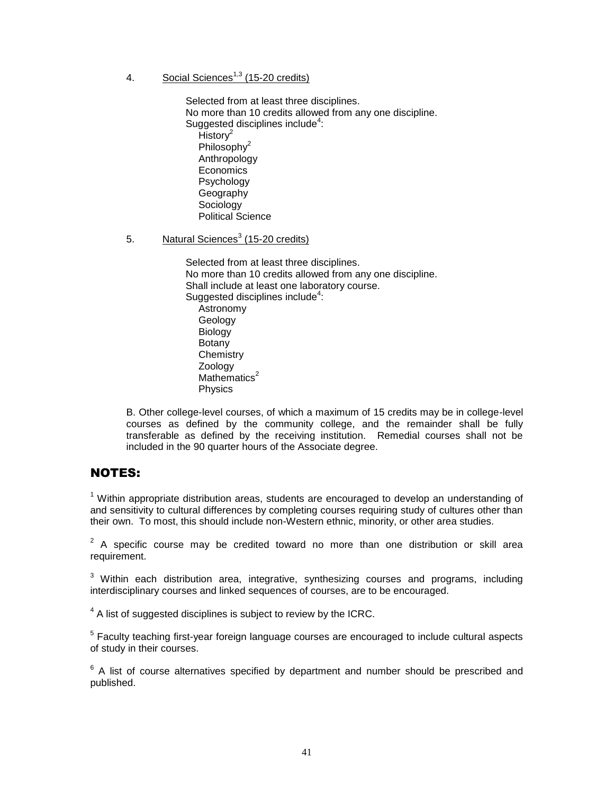4. Social Sciences<sup>1,3</sup> (15-20 credits)

Selected from at least three disciplines. No more than 10 credits allowed from any one discipline. Suggested disciplines include<sup>4</sup>: Histor $v^2$ Philosophy<sup>2</sup> Anthropology Economics Psychology Geography **Sociology** Political Science

5. Natural Sciences<sup>3</sup> (15-20 credits)

Selected from at least three disciplines. No more than 10 credits allowed from any one discipline. Shall include at least one laboratory course. Suggested disciplines include<sup>4</sup>: **Astronomy** Geology **Biology** Botany **Chemistry** Zoology Mathematics $2$ **Physics** 

B. Other college-level courses, of which a maximum of 15 credits may be in college-level courses as defined by the community college, and the remainder shall be fully transferable as defined by the receiving institution. Remedial courses shall not be included in the 90 quarter hours of the Associate degree.

# NOTES:

 $1$  Within appropriate distribution areas, students are encouraged to develop an understanding of and sensitivity to cultural differences by completing courses requiring study of cultures other than their own. To most, this should include non-Western ethnic, minority, or other area studies.

 $2$  A specific course may be credited toward no more than one distribution or skill area requirement.

 $3$  Within each distribution area, integrative, synthesizing courses and programs, including interdisciplinary courses and linked sequences of courses, are to be encouraged.

 $4$  A list of suggested disciplines is subject to review by the ICRC.

<sup>5</sup> Faculty teaching first-year foreign language courses are encouraged to include cultural aspects of study in their courses.

 $6$  A list of course alternatives specified by department and number should be prescribed and published.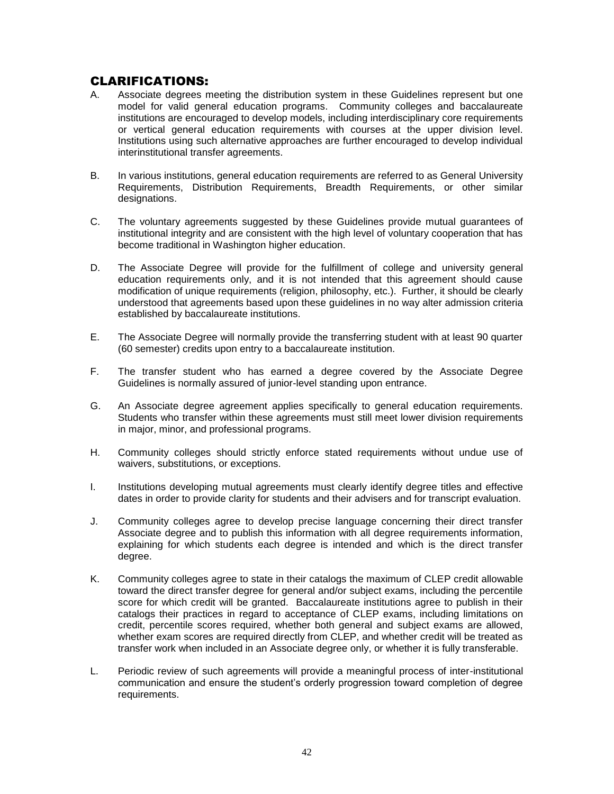# CLARIFICATIONS:

- A. Associate degrees meeting the distribution system in these Guidelines represent but one model for valid general education programs. Community colleges and baccalaureate institutions are encouraged to develop models, including interdisciplinary core requirements or vertical general education requirements with courses at the upper division level. Institutions using such alternative approaches are further encouraged to develop individual interinstitutional transfer agreements.
- B. In various institutions, general education requirements are referred to as General University Requirements, Distribution Requirements, Breadth Requirements, or other similar designations.
- C. The voluntary agreements suggested by these Guidelines provide mutual guarantees of institutional integrity and are consistent with the high level of voluntary cooperation that has become traditional in Washington higher education.
- D. The Associate Degree will provide for the fulfillment of college and university general education requirements only, and it is not intended that this agreement should cause modification of unique requirements (religion, philosophy, etc.). Further, it should be clearly understood that agreements based upon these guidelines in no way alter admission criteria established by baccalaureate institutions.
- E. The Associate Degree will normally provide the transferring student with at least 90 quarter (60 semester) credits upon entry to a baccalaureate institution.
- F. The transfer student who has earned a degree covered by the Associate Degree Guidelines is normally assured of junior-level standing upon entrance.
- G. An Associate degree agreement applies specifically to general education requirements. Students who transfer within these agreements must still meet lower division requirements in major, minor, and professional programs.
- H. Community colleges should strictly enforce stated requirements without undue use of waivers, substitutions, or exceptions.
- I. Institutions developing mutual agreements must clearly identify degree titles and effective dates in order to provide clarity for students and their advisers and for transcript evaluation.
- J. Community colleges agree to develop precise language concerning their direct transfer Associate degree and to publish this information with all degree requirements information, explaining for which students each degree is intended and which is the direct transfer degree.
- K. Community colleges agree to state in their catalogs the maximum of CLEP credit allowable toward the direct transfer degree for general and/or subject exams, including the percentile score for which credit will be granted. Baccalaureate institutions agree to publish in their catalogs their practices in regard to acceptance of CLEP exams, including limitations on credit, percentile scores required, whether both general and subject exams are allowed, whether exam scores are required directly from CLEP, and whether credit will be treated as transfer work when included in an Associate degree only, or whether it is fully transferable.
- L. Periodic review of such agreements will provide a meaningful process of inter-institutional communication and ensure the student's orderly progression toward completion of degree requirements.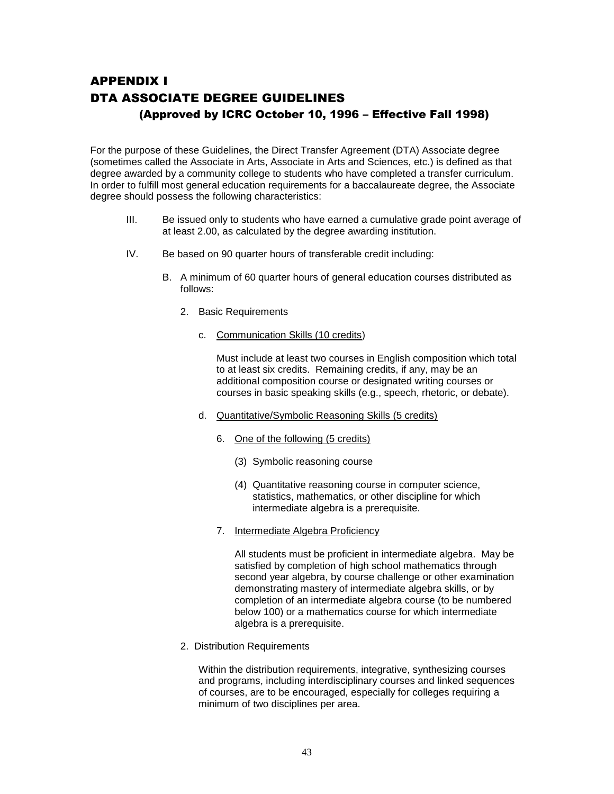# APPENDIX I DTA ASSOCIATE DEGREE GUIDELINES (Approved by ICRC October 10, 1996 – Effective Fall 1998)

For the purpose of these Guidelines, the Direct Transfer Agreement (DTA) Associate degree (sometimes called the Associate in Arts, Associate in Arts and Sciences, etc.) is defined as that degree awarded by a community college to students who have completed a transfer curriculum. In order to fulfill most general education requirements for a baccalaureate degree, the Associate degree should possess the following characteristics:

- III. Be issued only to students who have earned a cumulative grade point average of at least 2.00, as calculated by the degree awarding institution.
- IV. Be based on 90 quarter hours of transferable credit including:
	- B. A minimum of 60 quarter hours of general education courses distributed as follows:
		- 2. Basic Requirements
			- c. Communication Skills (10 credits)

Must include at least two courses in English composition which total to at least six credits. Remaining credits, if any, may be an additional composition course or designated writing courses or courses in basic speaking skills (e.g., speech, rhetoric, or debate).

- d. Quantitative/Symbolic Reasoning Skills (5 credits)
	- 6. One of the following (5 credits)
		- (3) Symbolic reasoning course
		- (4) Quantitative reasoning course in computer science, statistics, mathematics, or other discipline for which intermediate algebra is a prerequisite.
	- 7. Intermediate Algebra Proficiency

All students must be proficient in intermediate algebra. May be satisfied by completion of high school mathematics through second year algebra, by course challenge or other examination demonstrating mastery of intermediate algebra skills, or by completion of an intermediate algebra course (to be numbered below 100) or a mathematics course for which intermediate algebra is a prerequisite.

2. Distribution Requirements

Within the distribution requirements, integrative, synthesizing courses and programs, including interdisciplinary courses and linked sequences of courses, are to be encouraged, especially for colleges requiring a minimum of two disciplines per area.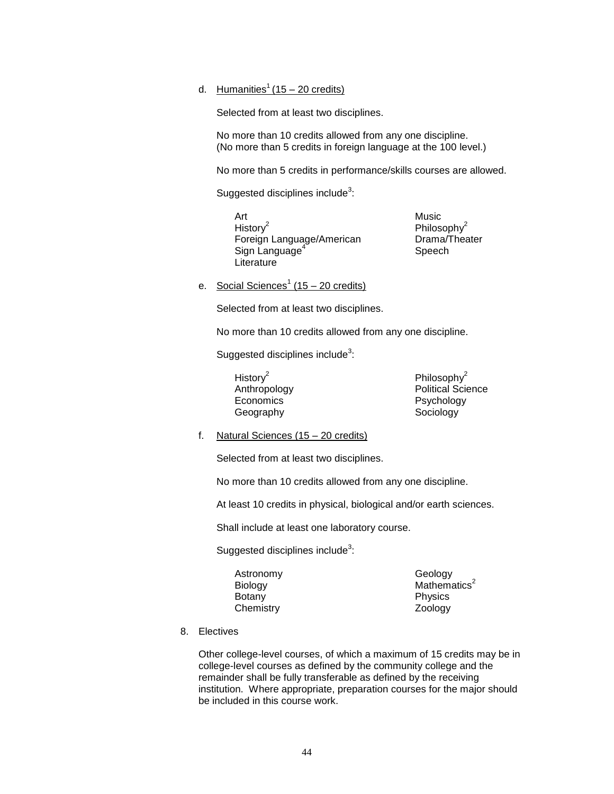### d. Humanities<sup>1</sup> (15 – 20 credits)

Selected from at least two disciplines.

No more than 10 credits allowed from any one discipline. (No more than 5 credits in foreign language at the 100 level.)

No more than 5 credits in performance/skills courses are allowed.

Suggested disciplines include $^3$ :

- Art Music Histor $v^2$ Foreign Language/American Drama/Theater Sign Language<sup>4</sup> **Literature** 
	- Philosophy<sup>2</sup> Speech
- e. Social Sciences<sup>1</sup> (15 20 credits)

Selected from at least two disciplines.

No more than 10 credits allowed from any one discipline.

Suggested disciplines include $^3$ :

History $2$ Economics Psychology Geography **Sociology** 

Philosophy<sup>2</sup> Anthropology **Political Science** 

f. Natural Sciences (15 – 20 credits)

Selected from at least two disciplines.

No more than 10 credits allowed from any one discipline.

At least 10 credits in physical, biological and/or earth sciences.

Shall include at least one laboratory course.

Suggested disciplines include $^3$ :

Astronomy Geology Botany **Physics** Chemistry Zoology

Biology Mathematics<sup>2</sup>

8. Electives

Other college-level courses, of which a maximum of 15 credits may be in college-level courses as defined by the community college and the remainder shall be fully transferable as defined by the receiving institution. Where appropriate, preparation courses for the major should be included in this course work.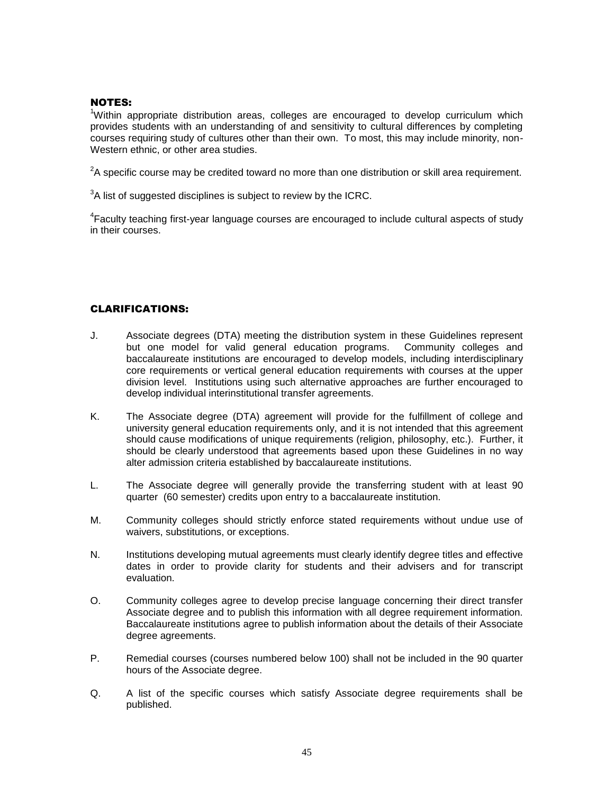#### NOTES:

<sup>1</sup>Within appropriate distribution areas, colleges are encouraged to develop curriculum which provides students with an understanding of and sensitivity to cultural differences by completing courses requiring study of cultures other than their own. To most, this may include minority, non-Western ethnic, or other area studies.

 $2$ A specific course may be credited toward no more than one distribution or skill area requirement.

 $3$ A list of suggested disciplines is subject to review by the ICRC.

<sup>4</sup>Faculty teaching first-year language courses are encouraged to include cultural aspects of study in their courses.

### CLARIFICATIONS:

- J. Associate degrees (DTA) meeting the distribution system in these Guidelines represent but one model for valid general education programs. Community colleges and baccalaureate institutions are encouraged to develop models, including interdisciplinary core requirements or vertical general education requirements with courses at the upper division level. Institutions using such alternative approaches are further encouraged to develop individual interinstitutional transfer agreements.
- K. The Associate degree (DTA) agreement will provide for the fulfillment of college and university general education requirements only, and it is not intended that this agreement should cause modifications of unique requirements (religion, philosophy, etc.). Further, it should be clearly understood that agreements based upon these Guidelines in no way alter admission criteria established by baccalaureate institutions.
- L. The Associate degree will generally provide the transferring student with at least 90 quarter (60 semester) credits upon entry to a baccalaureate institution.
- M. Community colleges should strictly enforce stated requirements without undue use of waivers, substitutions, or exceptions.
- N. Institutions developing mutual agreements must clearly identify degree titles and effective dates in order to provide clarity for students and their advisers and for transcript evaluation.
- O. Community colleges agree to develop precise language concerning their direct transfer Associate degree and to publish this information with all degree requirement information. Baccalaureate institutions agree to publish information about the details of their Associate degree agreements.
- P. Remedial courses (courses numbered below 100) shall not be included in the 90 quarter hours of the Associate degree.
- Q. A list of the specific courses which satisfy Associate degree requirements shall be published.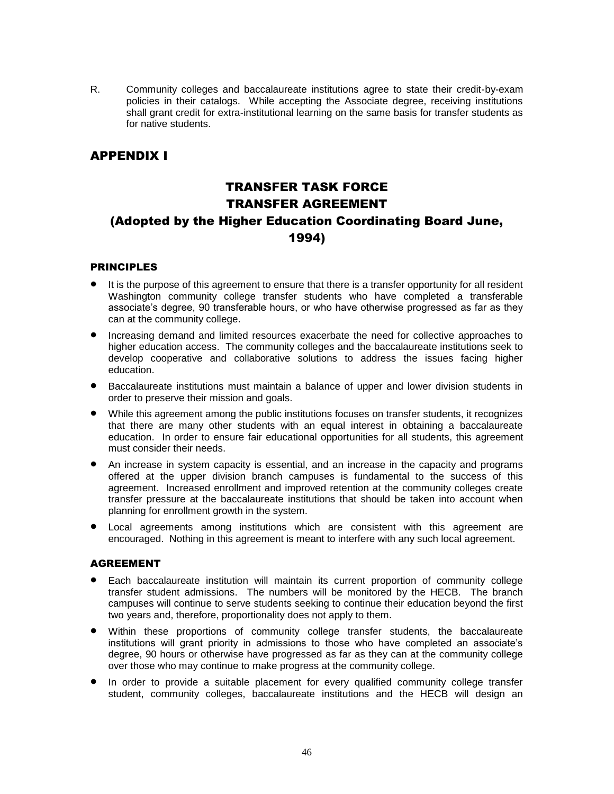R. Community colleges and baccalaureate institutions agree to state their credit-by-exam policies in their catalogs. While accepting the Associate degree, receiving institutions shall grant credit for extra-institutional learning on the same basis for transfer students as for native students.

# APPENDIX I

# TRANSFER TASK FORCE TRANSFER AGREEMENT (Adopted by the Higher Education Coordinating Board June, 1994)

### PRINCIPLES

- It is the purpose of this agreement to ensure that there is a transfer opportunity for all resident Washington community college transfer students who have completed a transferable associate's degree, 90 transferable hours, or who have otherwise progressed as far as they can at the community college.
- Increasing demand and limited resources exacerbate the need for collective approaches to higher education access. The community colleges and the baccalaureate institutions seek to develop cooperative and collaborative solutions to address the issues facing higher education.
- Baccalaureate institutions must maintain a balance of upper and lower division students in order to preserve their mission and goals.
- While this agreement among the public institutions focuses on transfer students, it recognizes that there are many other students with an equal interest in obtaining a baccalaureate education. In order to ensure fair educational opportunities for all students, this agreement must consider their needs.
- An increase in system capacity is essential, and an increase in the capacity and programs offered at the upper division branch campuses is fundamental to the success of this agreement. Increased enrollment and improved retention at the community colleges create transfer pressure at the baccalaureate institutions that should be taken into account when planning for enrollment growth in the system.
- Local agreements among institutions which are consistent with this agreement are encouraged. Nothing in this agreement is meant to interfere with any such local agreement.

### AGREEMENT

- Each baccalaureate institution will maintain its current proportion of community college transfer student admissions. The numbers will be monitored by the HECB. The branch campuses will continue to serve students seeking to continue their education beyond the first two years and, therefore, proportionality does not apply to them.
- Within these proportions of community college transfer students, the baccalaureate institutions will grant priority in admissions to those who have completed an associate's degree, 90 hours or otherwise have progressed as far as they can at the community college over those who may continue to make progress at the community college.
- In order to provide a suitable placement for every qualified community college transfer student, community colleges, baccalaureate institutions and the HECB will design an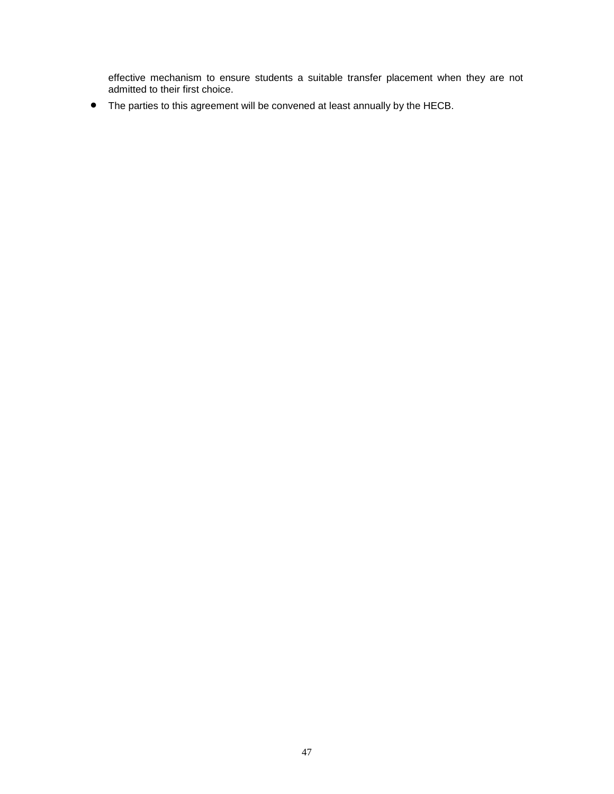effective mechanism to ensure students a suitable transfer placement when they are not admitted to their first choice.

The parties to this agreement will be convened at least annually by the HECB.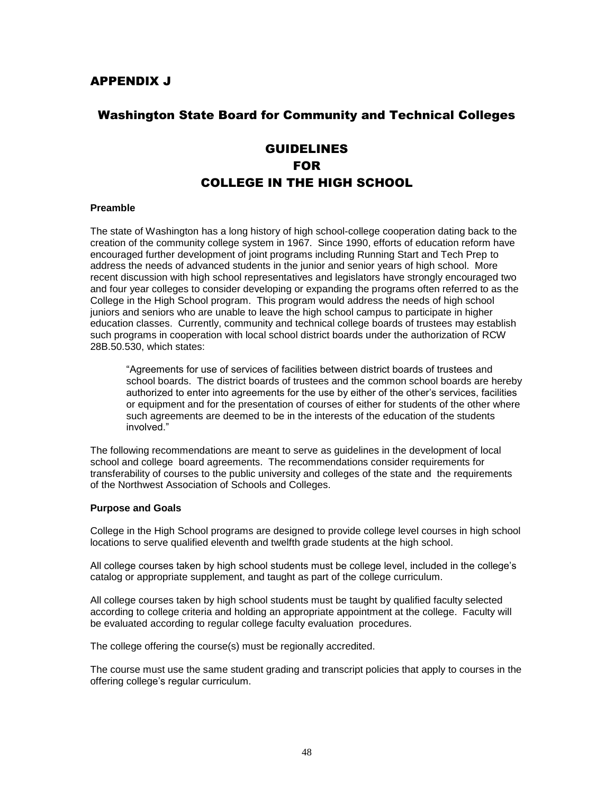# Washington State Board for Community and Technical Colleges

# **GUIDELINES** FOR COLLEGE IN THE HIGH SCHOOL

#### **Preamble**

The state of Washington has a long history of high school-college cooperation dating back to the creation of the community college system in 1967. Since 1990, efforts of education reform have encouraged further development of joint programs including Running Start and Tech Prep to address the needs of advanced students in the junior and senior years of high school. More recent discussion with high school representatives and legislators have strongly encouraged two and four year colleges to consider developing or expanding the programs often referred to as the College in the High School program. This program would address the needs of high school juniors and seniors who are unable to leave the high school campus to participate in higher education classes. Currently, community and technical college boards of trustees may establish such programs in cooperation with local school district boards under the authorization of RCW 28B.50.530, which states:

"Agreements for use of services of facilities between district boards of trustees and school boards. The district boards of trustees and the common school boards are hereby authorized to enter into agreements for the use by either of the other's services, facilities or equipment and for the presentation of courses of either for students of the other where such agreements are deemed to be in the interests of the education of the students involved."

The following recommendations are meant to serve as guidelines in the development of local school and college board agreements. The recommendations consider requirements for transferability of courses to the public university and colleges of the state and the requirements of the Northwest Association of Schools and Colleges.

#### **Purpose and Goals**

College in the High School programs are designed to provide college level courses in high school locations to serve qualified eleventh and twelfth grade students at the high school.

All college courses taken by high school students must be college level, included in the college's catalog or appropriate supplement, and taught as part of the college curriculum.

All college courses taken by high school students must be taught by qualified faculty selected according to college criteria and holding an appropriate appointment at the college. Faculty will be evaluated according to regular college faculty evaluation procedures.

The college offering the course(s) must be regionally accredited.

The course must use the same student grading and transcript policies that apply to courses in the offering college's regular curriculum.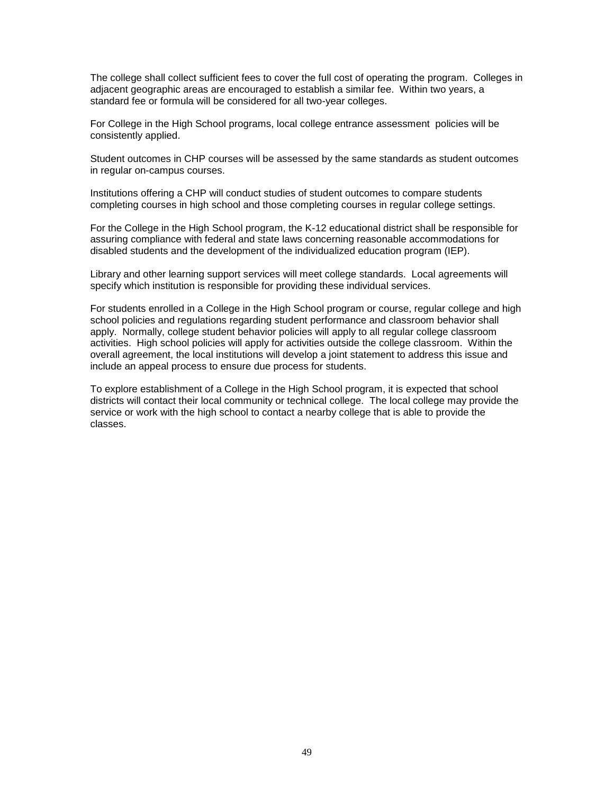The college shall collect sufficient fees to cover the full cost of operating the program. Colleges in adjacent geographic areas are encouraged to establish a similar fee. Within two years, a standard fee or formula will be considered for all two-year colleges.

For College in the High School programs, local college entrance assessment policies will be consistently applied.

Student outcomes in CHP courses will be assessed by the same standards as student outcomes in regular on-campus courses.

Institutions offering a CHP will conduct studies of student outcomes to compare students completing courses in high school and those completing courses in regular college settings.

For the College in the High School program, the K-12 educational district shall be responsible for assuring compliance with federal and state laws concerning reasonable accommodations for disabled students and the development of the individualized education program (IEP).

Library and other learning support services will meet college standards. Local agreements will specify which institution is responsible for providing these individual services.

For students enrolled in a College in the High School program or course, regular college and high school policies and regulations regarding student performance and classroom behavior shall apply. Normally, college student behavior policies will apply to all regular college classroom activities. High school policies will apply for activities outside the college classroom. Within the overall agreement, the local institutions will develop a joint statement to address this issue and include an appeal process to ensure due process for students.

To explore establishment of a College in the High School program, it is expected that school districts will contact their local community or technical college. The local college may provide the service or work with the high school to contact a nearby college that is able to provide the classes.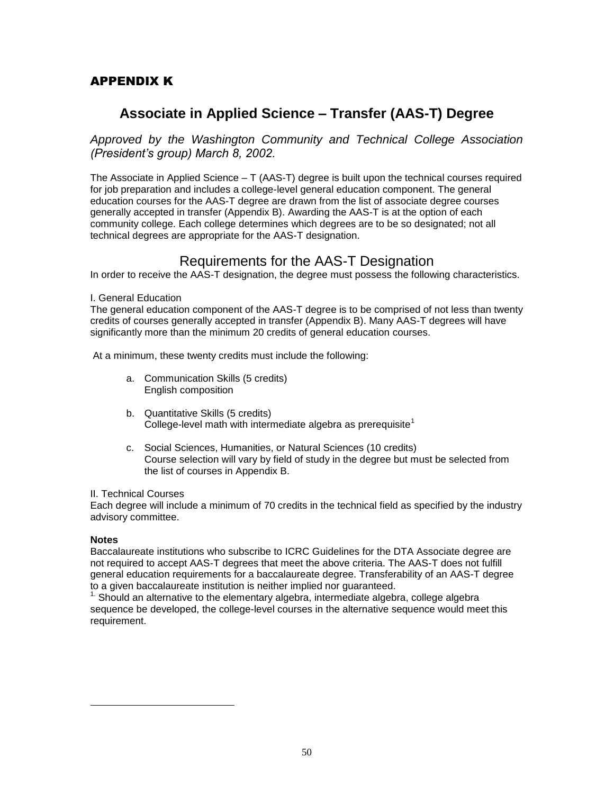# APPENDIX K

# **Associate in Applied Science – Transfer (AAS-T) Degree**

*Approved by the Washington Community and Technical College Association (President's group) March 8, 2002.*

The Associate in Applied Science – T (AAS-T) degree is built upon the technical courses required for job preparation and includes a college-level general education component. The general education courses for the AAS-T degree are drawn from the list of associate degree courses generally accepted in transfer (Appendix B). Awarding the AAS-T is at the option of each community college. Each college determines which degrees are to be so designated; not all technical degrees are appropriate for the AAS-T designation.

# Requirements for the AAS-T Designation

In order to receive the AAS-T designation, the degree must possess the following characteristics.

I. General Education

The general education component of the AAS-T degree is to be comprised of not less than twenty credits of courses generally accepted in transfer (Appendix B). Many AAS-T degrees will have significantly more than the minimum 20 credits of general education courses.

At a minimum, these twenty credits must include the following:

- a. Communication Skills (5 credits) English composition
- b. Quantitative Skills (5 credits) College-level math with intermediate algebra as prerequisite<sup>1</sup>
- c. Social Sciences, Humanities, or Natural Sciences (10 credits) Course selection will vary by field of study in the degree but must be selected from the list of courses in Appendix B.

#### II. Technical Courses

Each degree will include a minimum of 70 credits in the technical field as specified by the industry advisory committee.

### **Notes**

l

Baccalaureate institutions who subscribe to ICRC Guidelines for the DTA Associate degree are not required to accept AAS-T degrees that meet the above criteria. The AAS-T does not fulfill general education requirements for a baccalaureate degree. Transferability of an AAS-T degree to a given baccalaureate institution is neither implied nor guaranteed.

 $1.5$  Should an alternative to the elementary algebra, intermediate algebra, college algebra sequence be developed, the college-level courses in the alternative sequence would meet this requirement.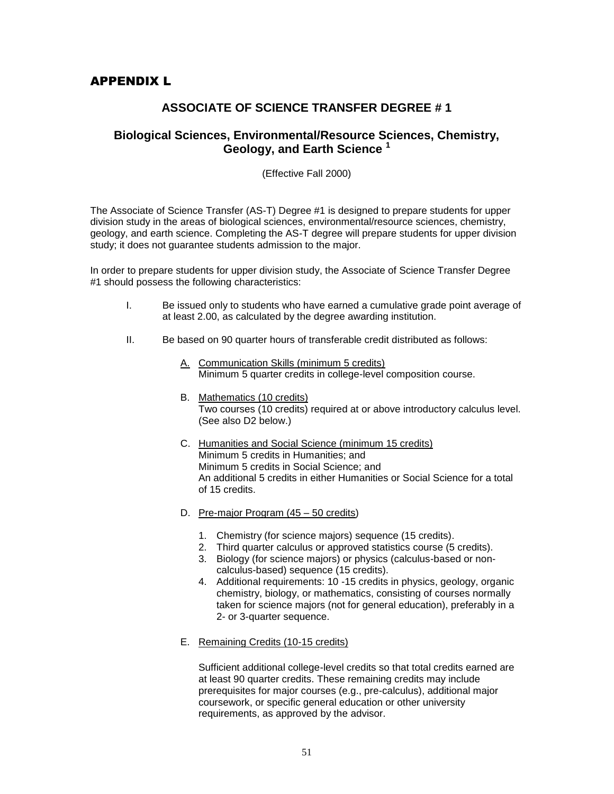# APPENDIX L

# **ASSOCIATE OF SCIENCE TRANSFER DEGREE # 1**

# **Biological Sciences, Environmental/Resource Sciences, Chemistry, Geology, and Earth Science <sup>1</sup>**

(Effective Fall 2000)

The Associate of Science Transfer (AS-T) Degree #1 is designed to prepare students for upper division study in the areas of biological sciences, environmental/resource sciences, chemistry, geology, and earth science. Completing the AS-T degree will prepare students for upper division study; it does not guarantee students admission to the major.

In order to prepare students for upper division study, the Associate of Science Transfer Degree #1 should possess the following characteristics:

- I. Be issued only to students who have earned a cumulative grade point average of at least 2.00, as calculated by the degree awarding institution.
- II. Be based on 90 quarter hours of transferable credit distributed as follows:
	- A. Communication Skills (minimum 5 credits) Minimum 5 quarter credits in college-level composition course.
	- B. Mathematics (10 credits) Two courses (10 credits) required at or above introductory calculus level. (See also D2 below.)
	- C. Humanities and Social Science (minimum 15 credits) Minimum 5 credits in Humanities; and Minimum 5 credits in Social Science; and An additional 5 credits in either Humanities or Social Science for a total of 15 credits.
	- D. Pre-major Program  $(45 50 \text{ credits})$ 
		- 1. Chemistry (for science majors) sequence (15 credits).
		- 2. Third quarter calculus or approved statistics course (5 credits).
		- 3. Biology (for science majors) or physics (calculus-based or noncalculus-based) sequence (15 credits).
		- 4. Additional requirements: 10 -15 credits in physics, geology, organic chemistry, biology, or mathematics, consisting of courses normally taken for science majors (not for general education), preferably in a 2- or 3-quarter sequence.
	- E. Remaining Credits (10-15 credits)

Sufficient additional college-level credits so that total credits earned are at least 90 quarter credits. These remaining credits may include prerequisites for major courses (e.g., pre-calculus), additional major coursework, or specific general education or other university requirements, as approved by the advisor.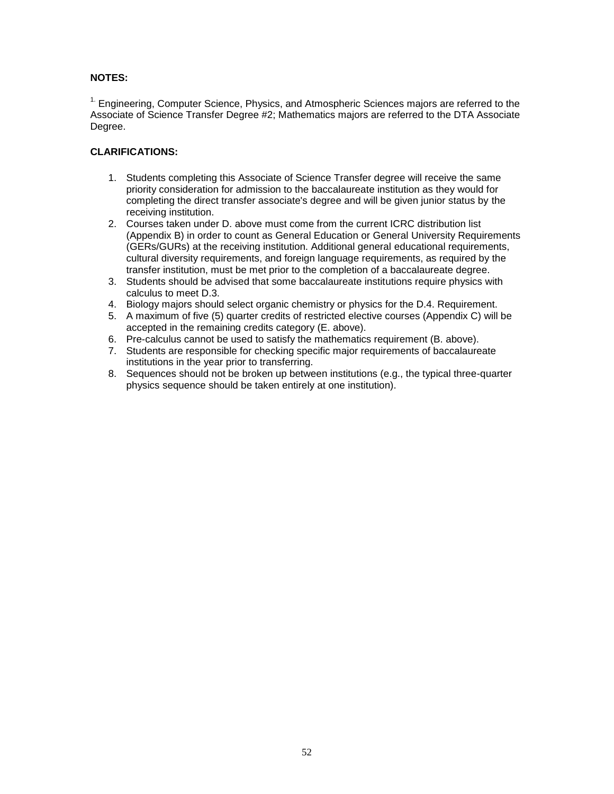### **NOTES:**

<sup>1.</sup> Engineering, Computer Science, Physics, and Atmospheric Sciences majors are referred to the Associate of Science Transfer Degree #2; Mathematics majors are referred to the DTA Associate Degree.

### **CLARIFICATIONS:**

- 1. Students completing this Associate of Science Transfer degree will receive the same priority consideration for admission to the baccalaureate institution as they would for completing the direct transfer associate's degree and will be given junior status by the receiving institution.
- 2. Courses taken under D. above must come from the current ICRC distribution list (Appendix B) in order to count as General Education or General University Requirements (GERs/GURs) at the receiving institution. Additional general educational requirements, cultural diversity requirements, and foreign language requirements, as required by the transfer institution, must be met prior to the completion of a baccalaureate degree.
- 3. Students should be advised that some baccalaureate institutions require physics with calculus to meet D.3.
- 4. Biology majors should select organic chemistry or physics for the D.4. Requirement.
- 5. A maximum of five (5) quarter credits of restricted elective courses (Appendix C) will be accepted in the remaining credits category (E. above).
- 6. Pre-calculus cannot be used to satisfy the mathematics requirement (B. above).
- 7. Students are responsible for checking specific major requirements of baccalaureate institutions in the year prior to transferring.
- 8. Sequences should not be broken up between institutions (e.g., the typical three-quarter physics sequence should be taken entirely at one institution).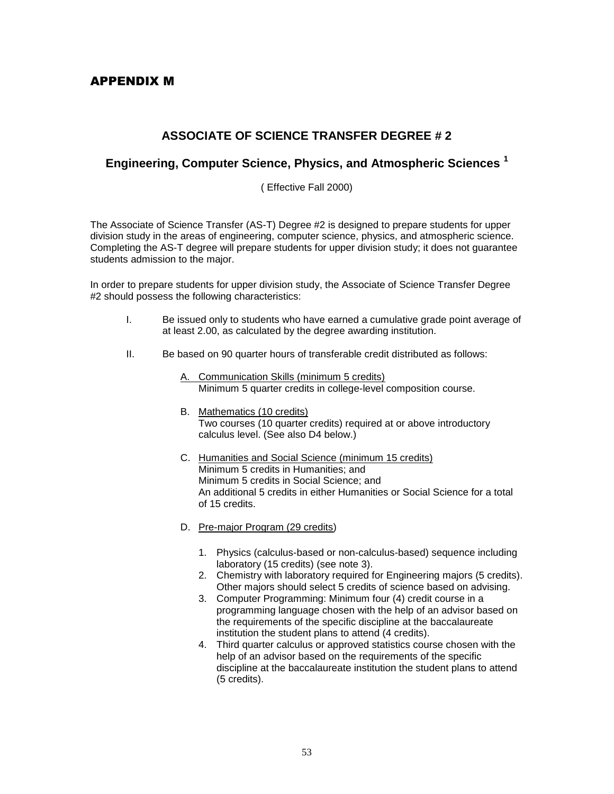# APPENDIX M

# **ASSOCIATE OF SCIENCE TRANSFER DEGREE # 2**

# **Engineering, Computer Science, Physics, and Atmospheric Sciences <sup>1</sup>**

( Effective Fall 2000)

The Associate of Science Transfer (AS-T) Degree #2 is designed to prepare students for upper division study in the areas of engineering, computer science, physics, and atmospheric science. Completing the AS-T degree will prepare students for upper division study; it does not guarantee students admission to the major.

In order to prepare students for upper division study, the Associate of Science Transfer Degree #2 should possess the following characteristics:

- I. Be issued only to students who have earned a cumulative grade point average of at least 2.00, as calculated by the degree awarding institution.
- II. Be based on 90 quarter hours of transferable credit distributed as follows:
	- A. Communication Skills (minimum 5 credits) Minimum 5 quarter credits in college-level composition course.
	- B. Mathematics (10 credits) Two courses (10 quarter credits) required at or above introductory calculus level. (See also D4 below.)
	- C. Humanities and Social Science (minimum 15 credits) Minimum 5 credits in Humanities; and Minimum 5 credits in Social Science; and An additional 5 credits in either Humanities or Social Science for a total of 15 credits.
	- D. Pre-major Program (29 credits)
		- 1. Physics (calculus-based or non-calculus-based) sequence including laboratory (15 credits) (see note 3).
		- 2. Chemistry with laboratory required for Engineering majors (5 credits). Other majors should select 5 credits of science based on advising.
		- 3. Computer Programming: Minimum four (4) credit course in a programming language chosen with the help of an advisor based on the requirements of the specific discipline at the baccalaureate institution the student plans to attend (4 credits).
		- 4. Third quarter calculus or approved statistics course chosen with the help of an advisor based on the requirements of the specific discipline at the baccalaureate institution the student plans to attend (5 credits).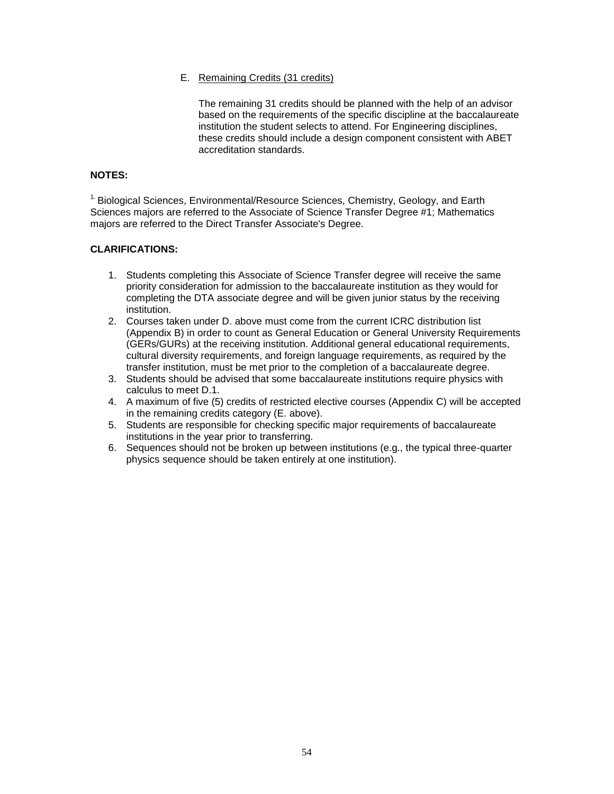#### E. Remaining Credits (31 credits)

The remaining 31 credits should be planned with the help of an advisor based on the requirements of the specific discipline at the baccalaureate institution the student selects to attend. For Engineering disciplines, these credits should include a design component consistent with ABET accreditation standards.

#### **NOTES:**

1. Biological Sciences, Environmental/Resource Sciences, Chemistry, Geology, and Earth Sciences majors are referred to the Associate of Science Transfer Degree #1; Mathematics majors are referred to the Direct Transfer Associate's Degree.

#### **CLARIFICATIONS:**

- 1. Students completing this Associate of Science Transfer degree will receive the same priority consideration for admission to the baccalaureate institution as they would for completing the DTA associate degree and will be given junior status by the receiving institution.
- 2. Courses taken under D. above must come from the current ICRC distribution list (Appendix B) in order to count as General Education or General University Requirements (GERs/GURs) at the receiving institution. Additional general educational requirements, cultural diversity requirements, and foreign language requirements, as required by the transfer institution, must be met prior to the completion of a baccalaureate degree.
- 3. Students should be advised that some baccalaureate institutions require physics with calculus to meet D.1.
- 4. A maximum of five (5) credits of restricted elective courses (Appendix C) will be accepted in the remaining credits category (E. above).
- 5. Students are responsible for checking specific major requirements of baccalaureate institutions in the year prior to transferring.
- 6. Sequences should not be broken up between institutions (e.g., the typical three-quarter physics sequence should be taken entirely at one institution).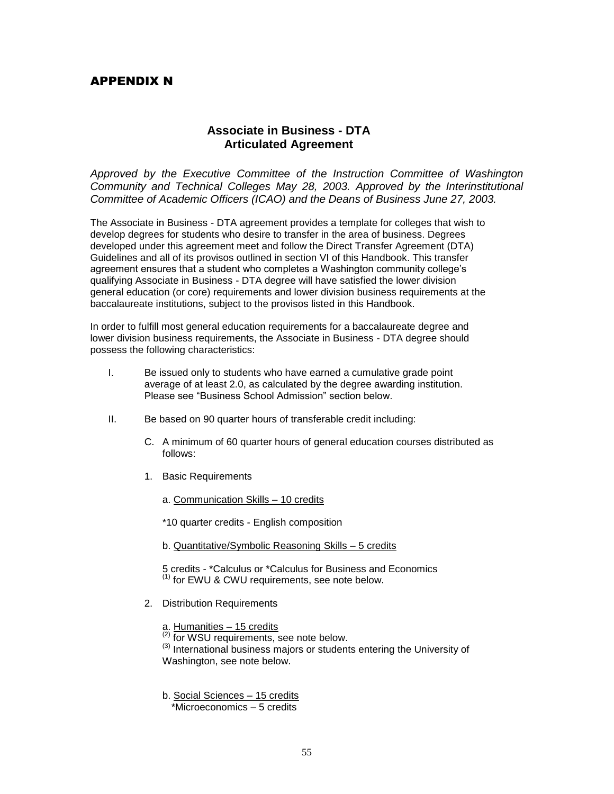# APPENDIX N

# **Associate in Business - DTA Articulated Agreement**

*Approved by the Executive Committee of the Instruction Committee of Washington Community and Technical Colleges May 28, 2003. Approved by the Interinstitutional Committee of Academic Officers (ICAO) and the Deans of Business June 27, 2003.*

The Associate in Business - DTA agreement provides a template for colleges that wish to develop degrees for students who desire to transfer in the area of business. Degrees developed under this agreement meet and follow the Direct Transfer Agreement (DTA) Guidelines and all of its provisos outlined in section VI of this Handbook. This transfer agreement ensures that a student who completes a Washington community college's qualifying Associate in Business - DTA degree will have satisfied the lower division general education (or core) requirements and lower division business requirements at the baccalaureate institutions, subject to the provisos listed in this Handbook.

In order to fulfill most general education requirements for a baccalaureate degree and lower division business requirements, the Associate in Business - DTA degree should possess the following characteristics:

- I. Be issued only to students who have earned a cumulative grade point average of at least 2.0, as calculated by the degree awarding institution. Please see "Business School Admission" section below.
- II. Be based on 90 quarter hours of transferable credit including:
	- C. A minimum of 60 quarter hours of general education courses distributed as follows:
	- 1. Basic Requirements
		- a. Communication Skills 10 credits

\*10 quarter credits - English composition

b. Quantitative/Symbolic Reasoning Skills – 5 credits

5 credits - \*Calculus or \*Calculus for Business and Economics  $<sup>(1)</sup>$  for EWU & CWU requirements, see note below.</sup>

2. Distribution Requirements

a. Humanities – 15 credits

 $\frac{1}{2}$  for WSU requirements, see note below.

<sup>(3)</sup> International business majors or students entering the University of Washington, see note below.

b. Social Sciences – 15 credits

\*Microeconomics – 5 credits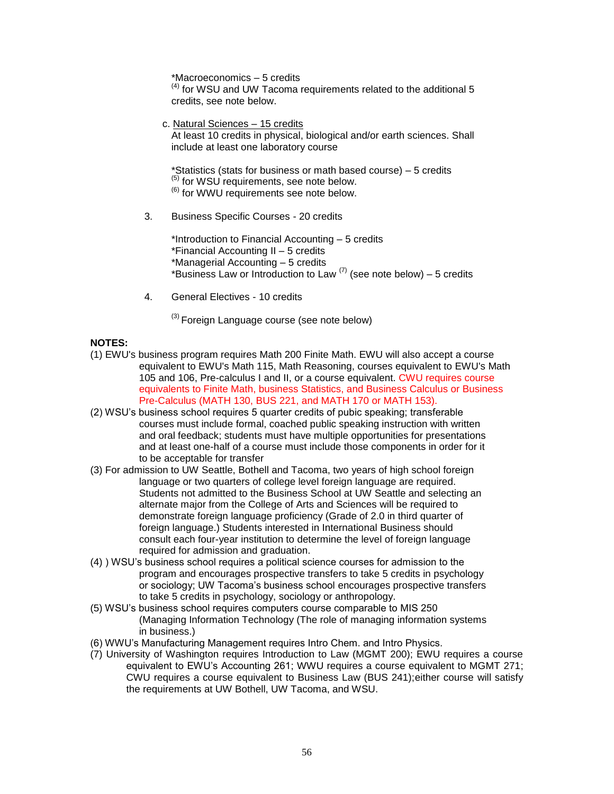\*Macroeconomics – 5 credits

(4) for WSU and UW Tacoma requirements related to the additional 5 credits, see note below.

c. Natural Sciences – 15 credits At least 10 credits in physical, biological and/or earth sciences. Shall include at least one laboratory course

\*Statistics (stats for business or math based course) – 5 credits  $<sup>(5)</sup>$  for WSU requirements, see note below.</sup> (6) for WWU requirements see note below.

3. Business Specific Courses - 20 credits

\*Introduction to Financial Accounting – 5 credits \*Financial Accounting II – 5 credits \*Managerial Accounting – 5 credits \*Business Law or Introduction to Law  $(7)$  (see note below) – 5 credits

4. General Electives - 10 credits

 $^{(3)}$  Foreign Language course (see note below)

#### **NOTES:**

- (1) EWU's business program requires Math 200 Finite Math. EWU will also accept a course equivalent to EWU's Math 115, Math Reasoning, courses equivalent to EWU's Math 105 and 106, Pre-calculus I and II, or a course equivalent. CWU requires course equivalents to Finite Math, business Statistics, and Business Calculus or Business Pre-Calculus (MATH 130, BUS 221, and MATH 170 or MATH 153).
- (2) WSU's business school requires 5 quarter credits of pubic speaking; transferable courses must include formal, coached public speaking instruction with written and oral feedback; students must have multiple opportunities for presentations and at least one-half of a course must include those components in order for it to be acceptable for transfer
- (3) For admission to UW Seattle, Bothell and Tacoma, two years of high school foreign language or two quarters of college level foreign language are required. Students not admitted to the Business School at UW Seattle and selecting an alternate major from the College of Arts and Sciences will be required to demonstrate foreign language proficiency (Grade of 2.0 in third quarter of foreign language.) Students interested in International Business should consult each four-year institution to determine the level of foreign language required for admission and graduation.
- (4) ) WSU's business school requires a political science courses for admission to the program and encourages prospective transfers to take 5 credits in psychology or sociology; UW Tacoma's business school encourages prospective transfers to take 5 credits in psychology, sociology or anthropology.
- (5) WSU's business school requires computers course comparable to MIS 250 (Managing Information Technology (The role of managing information systems in business.)
- (6) WWU's Manufacturing Management requires Intro Chem. and Intro Physics.
- (7) University of Washington requires Introduction to Law (MGMT 200); EWU requires a course equivalent to EWU's Accounting 261; WWU requires a course equivalent to MGMT 271; CWU requires a course equivalent to Business Law (BUS 241);either course will satisfy the requirements at UW Bothell, UW Tacoma, and WSU.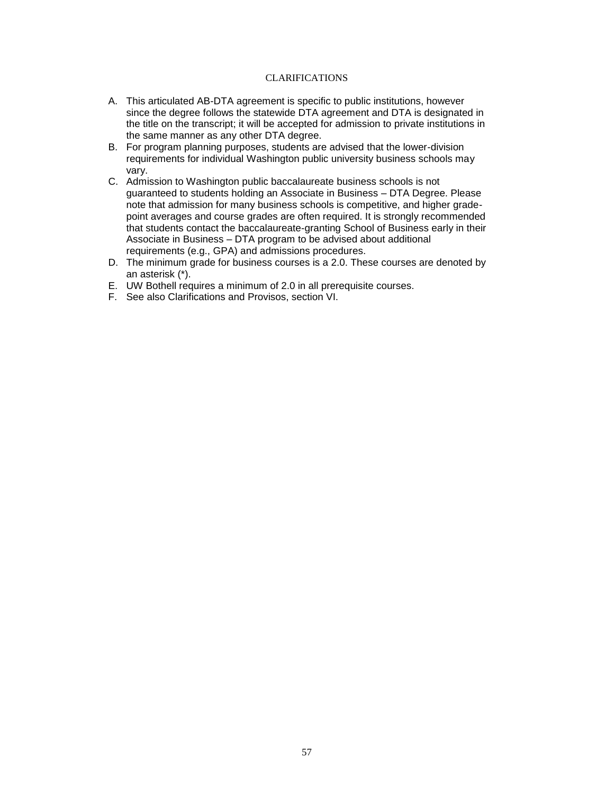### CLARIFICATIONS

- A. This articulated AB-DTA agreement is specific to public institutions, however since the degree follows the statewide DTA agreement and DTA is designated in the title on the transcript; it will be accepted for admission to private institutions in the same manner as any other DTA degree.
- B. For program planning purposes, students are advised that the lower-division requirements for individual Washington public university business schools may vary.
- C. Admission to Washington public baccalaureate business schools is not guaranteed to students holding an Associate in Business – DTA Degree. Please note that admission for many business schools is competitive, and higher gradepoint averages and course grades are often required. It is strongly recommended that students contact the baccalaureate-granting School of Business early in their Associate in Business – DTA program to be advised about additional requirements (e.g., GPA) and admissions procedures.
- D. The minimum grade for business courses is a 2.0. These courses are denoted by an asterisk (\*).
- E. UW Bothell requires a minimum of 2.0 in all prerequisite courses.
- F. See also Clarifications and Provisos, section VI.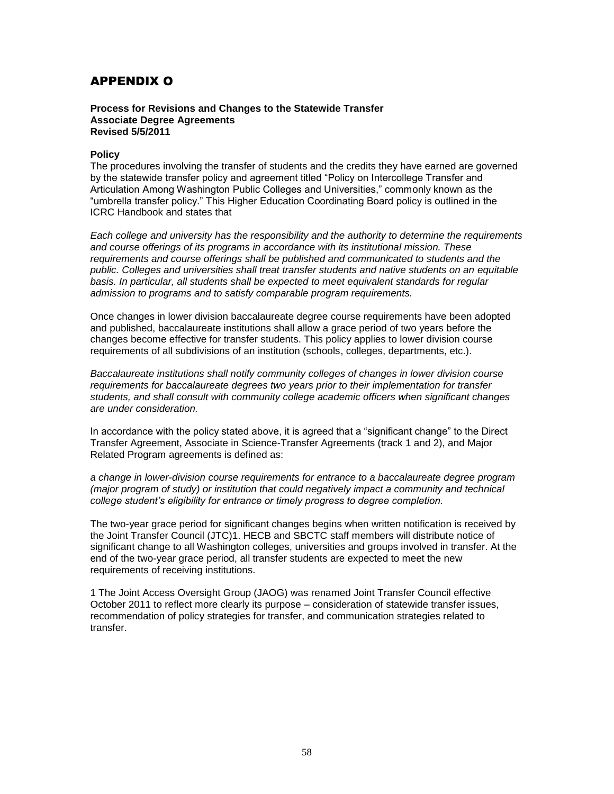# APPENDIX O

#### **Process for Revisions and Changes to the Statewide Transfer Associate Degree Agreements Revised 5/5/2011**

#### **Policy**

The procedures involving the transfer of students and the credits they have earned are governed by the statewide transfer policy and agreement titled "Policy on Intercollege Transfer and Articulation Among Washington Public Colleges and Universities," commonly known as the "umbrella transfer policy." This Higher Education Coordinating Board policy is outlined in the ICRC Handbook and states that

*Each college and university has the responsibility and the authority to determine the requirements and course offerings of its programs in accordance with its institutional mission. These requirements and course offerings shall be published and communicated to students and the public. Colleges and universities shall treat transfer students and native students on an equitable basis. In particular, all students shall be expected to meet equivalent standards for regular admission to programs and to satisfy comparable program requirements.* 

Once changes in lower division baccalaureate degree course requirements have been adopted and published, baccalaureate institutions shall allow a grace period of two years before the changes become effective for transfer students. This policy applies to lower division course requirements of all subdivisions of an institution (schools, colleges, departments, etc.).

*Baccalaureate institutions shall notify community colleges of changes in lower division course requirements for baccalaureate degrees two years prior to their implementation for transfer students, and shall consult with community college academic officers when significant changes are under consideration.* 

In accordance with the policy stated above, it is agreed that a "significant change" to the Direct Transfer Agreement, Associate in Science-Transfer Agreements (track 1 and 2), and Major Related Program agreements is defined as:

*a change in lower-division course requirements for entrance to a baccalaureate degree program (major program of study) or institution that could negatively impact a community and technical college student's eligibility for entrance or timely progress to degree completion.* 

The two-year grace period for significant changes begins when written notification is received by the Joint Transfer Council (JTC)1. HECB and SBCTC staff members will distribute notice of significant change to all Washington colleges, universities and groups involved in transfer. At the end of the two-year grace period, all transfer students are expected to meet the new requirements of receiving institutions.

1 The Joint Access Oversight Group (JAOG) was renamed Joint Transfer Council effective October 2011 to reflect more clearly its purpose – consideration of statewide transfer issues, recommendation of policy strategies for transfer, and communication strategies related to transfer.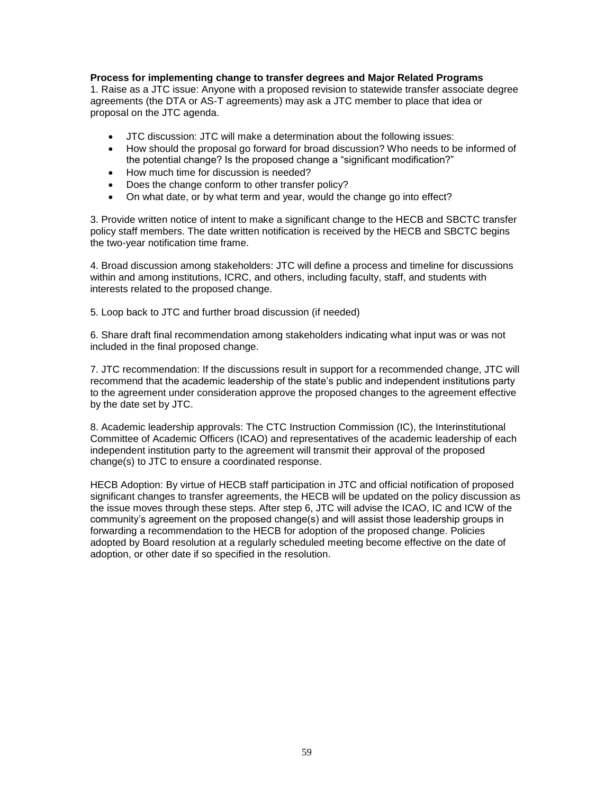#### **Process for implementing change to transfer degrees and Major Related Programs**

1. Raise as a JTC issue: Anyone with a proposed revision to statewide transfer associate degree agreements (the DTA or AS-T agreements) may ask a JTC member to place that idea or proposal on the JTC agenda.

- JTC discussion: JTC will make a determination about the following issues:
- How should the proposal go forward for broad discussion? Who needs to be informed of the potential change? Is the proposed change a "significant modification?"
- How much time for discussion is needed?
- Does the change conform to other transfer policy?
- On what date, or by what term and year, would the change go into effect?

3. Provide written notice of intent to make a significant change to the HECB and SBCTC transfer policy staff members. The date written notification is received by the HECB and SBCTC begins the two-year notification time frame.

4. Broad discussion among stakeholders: JTC will define a process and timeline for discussions within and among institutions, ICRC, and others, including faculty, staff, and students with interests related to the proposed change.

5. Loop back to JTC and further broad discussion (if needed)

6. Share draft final recommendation among stakeholders indicating what input was or was not included in the final proposed change.

7. JTC recommendation: If the discussions result in support for a recommended change, JTC will recommend that the academic leadership of the state's public and independent institutions party to the agreement under consideration approve the proposed changes to the agreement effective by the date set by JTC.

8. Academic leadership approvals: The CTC Instruction Commission (IC), the Interinstitutional Committee of Academic Officers (ICAO) and representatives of the academic leadership of each independent institution party to the agreement will transmit their approval of the proposed change(s) to JTC to ensure a coordinated response.

HECB Adoption: By virtue of HECB staff participation in JTC and official notification of proposed significant changes to transfer agreements, the HECB will be updated on the policy discussion as the issue moves through these steps. After step 6, JTC will advise the ICAO, IC and ICW of the community's agreement on the proposed change(s) and will assist those leadership groups in forwarding a recommendation to the HECB for adoption of the proposed change. Policies adopted by Board resolution at a regularly scheduled meeting become effective on the date of adoption, or other date if so specified in the resolution.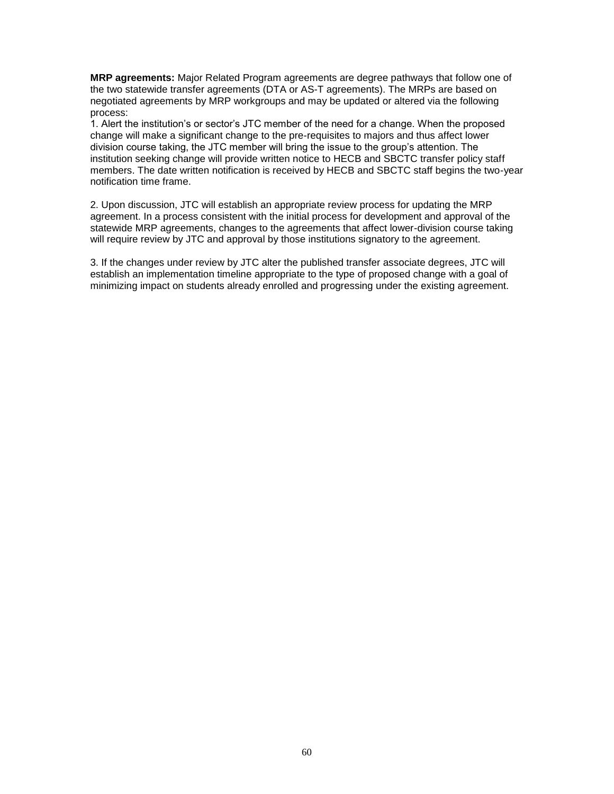**MRP agreements:** Major Related Program agreements are degree pathways that follow one of the two statewide transfer agreements (DTA or AS-T agreements). The MRPs are based on negotiated agreements by MRP workgroups and may be updated or altered via the following process:

1. Alert the institution's or sector's JTC member of the need for a change. When the proposed change will make a significant change to the pre-requisites to majors and thus affect lower division course taking, the JTC member will bring the issue to the group's attention. The institution seeking change will provide written notice to HECB and SBCTC transfer policy staff members. The date written notification is received by HECB and SBCTC staff begins the two-year notification time frame.

2. Upon discussion, JTC will establish an appropriate review process for updating the MRP agreement. In a process consistent with the initial process for development and approval of the statewide MRP agreements, changes to the agreements that affect lower-division course taking will require review by JTC and approval by those institutions signatory to the agreement.

3. If the changes under review by JTC alter the published transfer associate degrees, JTC will establish an implementation timeline appropriate to the type of proposed change with a goal of minimizing impact on students already enrolled and progressing under the existing agreement.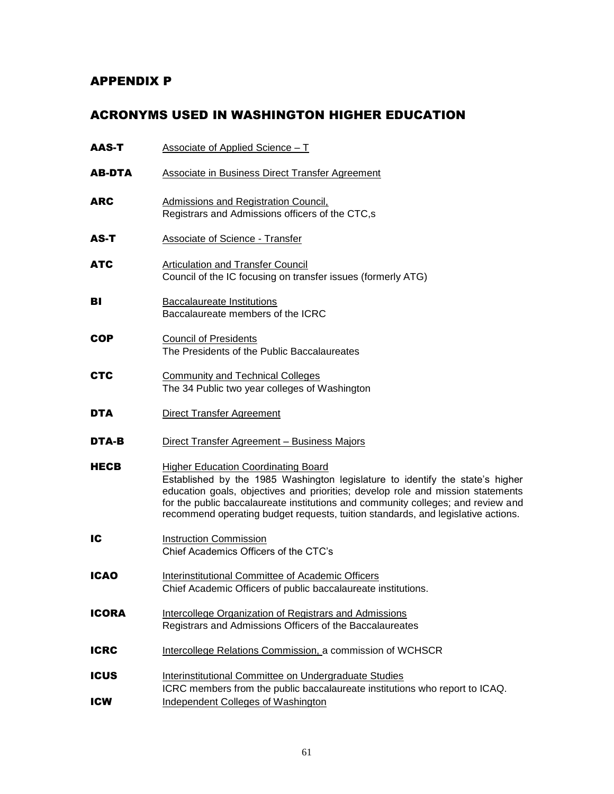# APPENDIX P

# ACRONYMS USED IN WASHINGTON HIGHER EDUCATION

| AAS-T                     | Associate of Applied Science - T                                                                                                                                                                                                                                                                                                                                                       |
|---------------------------|----------------------------------------------------------------------------------------------------------------------------------------------------------------------------------------------------------------------------------------------------------------------------------------------------------------------------------------------------------------------------------------|
| <b>AB-DTA</b>             | <b>Associate in Business Direct Transfer Agreement</b>                                                                                                                                                                                                                                                                                                                                 |
| <b>ARC</b>                | <b>Admissions and Registration Council,</b><br>Registrars and Admissions officers of the CTC,s                                                                                                                                                                                                                                                                                         |
| AS-T                      | Associate of Science - Transfer                                                                                                                                                                                                                                                                                                                                                        |
| <b>ATC</b>                | <b>Articulation and Transfer Council</b><br>Council of the IC focusing on transfer issues (formerly ATG)                                                                                                                                                                                                                                                                               |
| ВΙ                        | <b>Baccalaureate Institutions</b><br>Baccalaureate members of the ICRC                                                                                                                                                                                                                                                                                                                 |
| <b>COP</b>                | <b>Council of Presidents</b><br>The Presidents of the Public Baccalaureates                                                                                                                                                                                                                                                                                                            |
| <b>CTC</b>                | <b>Community and Technical Colleges</b><br>The 34 Public two year colleges of Washington                                                                                                                                                                                                                                                                                               |
| <b>DTA</b>                | <b>Direct Transfer Agreement</b>                                                                                                                                                                                                                                                                                                                                                       |
| DTA-B                     | Direct Transfer Agreement - Business Majors                                                                                                                                                                                                                                                                                                                                            |
| <b>HECB</b>               | <b>Higher Education Coordinating Board</b><br>Established by the 1985 Washington legislature to identify the state's higher<br>education goals, objectives and priorities; develop role and mission statements<br>for the public baccalaureate institutions and community colleges; and review and<br>recommend operating budget requests, tuition standards, and legislative actions. |
| IC                        | <b>Instruction Commission</b><br>Chief Academics Officers of the CTC's                                                                                                                                                                                                                                                                                                                 |
| <b>ICAO</b>               | <b>Interinstitutional Committee of Academic Officers</b><br>Chief Academic Officers of public baccalaureate institutions.                                                                                                                                                                                                                                                              |
| <b>ICORA</b>              | Intercollege Organization of Registrars and Admissions<br>Registrars and Admissions Officers of the Baccalaureates                                                                                                                                                                                                                                                                     |
| <b>ICRC</b>               | Intercollege Relations Commission, a commission of WCHSCR                                                                                                                                                                                                                                                                                                                              |
| <b>ICUS</b><br><b>ICW</b> | Interinstitutional Committee on Undergraduate Studies<br>ICRC members from the public baccalaureate institutions who report to ICAQ.<br><b>Independent Colleges of Washington</b>                                                                                                                                                                                                      |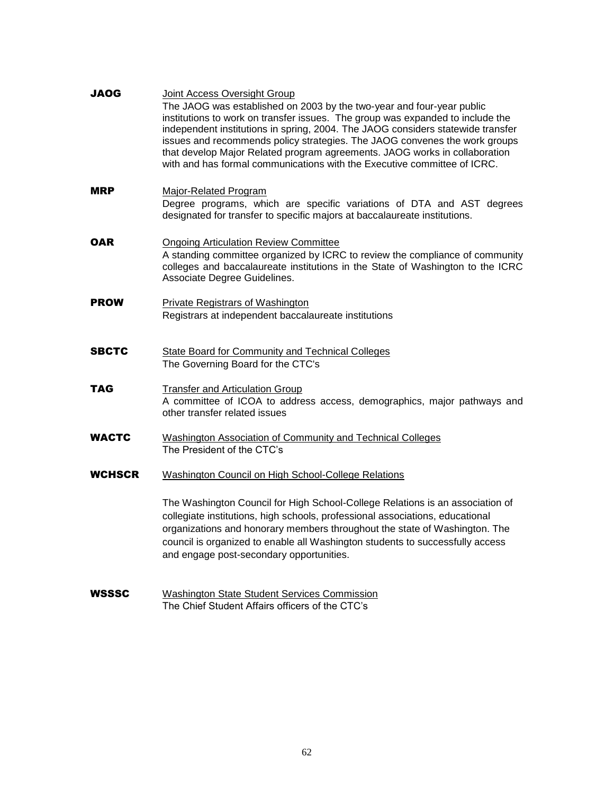| <b>JAOG</b>   | Joint Access Oversight Group<br>The JAOG was established on 2003 by the two-year and four-year public<br>institutions to work on transfer issues. The group was expanded to include the<br>independent institutions in spring, 2004. The JAOG considers statewide transfer<br>issues and recommends policy strategies. The JAOG convenes the work groups<br>that develop Major Related program agreements. JAOG works in collaboration<br>with and has formal communications with the Executive committee of ICRC. |
|---------------|--------------------------------------------------------------------------------------------------------------------------------------------------------------------------------------------------------------------------------------------------------------------------------------------------------------------------------------------------------------------------------------------------------------------------------------------------------------------------------------------------------------------|
| MRP           | Major-Related Program<br>Degree programs, which are specific variations of DTA and AST degrees<br>designated for transfer to specific majors at baccalaureate institutions.                                                                                                                                                                                                                                                                                                                                        |
| OAR           | <b>Ongoing Articulation Review Committee</b><br>A standing committee organized by ICRC to review the compliance of community<br>colleges and baccalaureate institutions in the State of Washington to the ICRC<br>Associate Degree Guidelines.                                                                                                                                                                                                                                                                     |
| <b>PROW</b>   | <b>Private Registrars of Washington</b><br>Registrars at independent baccalaureate institutions                                                                                                                                                                                                                                                                                                                                                                                                                    |
| <b>SBCTC</b>  | <b>State Board for Community and Technical Colleges</b><br>The Governing Board for the CTC's                                                                                                                                                                                                                                                                                                                                                                                                                       |
| TAG           | <b>Transfer and Articulation Group</b><br>A committee of ICOA to address access, demographics, major pathways and<br>other transfer related issues                                                                                                                                                                                                                                                                                                                                                                 |
| <b>WACTC</b>  | Washington Association of Community and Technical Colleges<br>The President of the CTC's                                                                                                                                                                                                                                                                                                                                                                                                                           |
| <b>WCHSCR</b> | Washington Council on High School-College Relations                                                                                                                                                                                                                                                                                                                                                                                                                                                                |
|               | The Washington Council for High School-College Relations is an association of<br>collegiate institutions, high schools, professional associations, educational<br>organizations and honorary members throughout the state of Washington. The<br>council is organized to enable all Washington students to successfully access<br>and engage post-secondary opportunities.                                                                                                                                          |
| <b>WSSSC</b>  | <b>Washington State Student Services Commission</b><br>The Chief Student Affairs officers of the CTC's                                                                                                                                                                                                                                                                                                                                                                                                             |